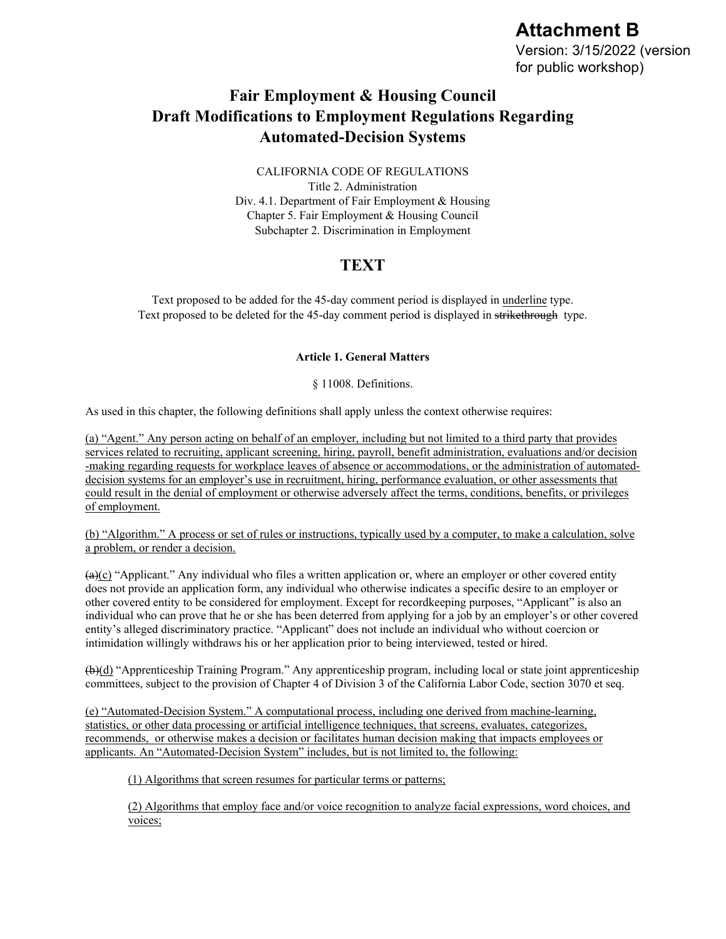# **Attachment B**

Version: 3/15/2022 (version for public workshop)

## **Fair Employment & Housing Council Draft Modifications to Employment Regulations Regarding Automated-Decision Systems**

#### CALIFORNIA CODE OF REGULATIONS

Title 2. Administration Div. 4.1. Department of Fair Employment & Housing Chapter 5. Fair Employment & Housing Council Subchapter 2. Discrimination in Employment

### **TEXT**

Text proposed to be added for the 45-day comment period is displayed in underline type. Text proposed to be deleted for the 45-day comment period is displayed in strikethrough type.

#### **Article 1. General Matters**

§ 11008. Definitions.

As used in this chapter, the following definitions shall apply unless the context otherwise requires:

(a) "Agent." Any person acting on behalf of an employer, including but not limited to a third party that provides services related to recruiting, applicant screening, hiring, payroll, benefit administration, evaluations and/or decision -making regarding requests for workplace leaves of absence or accommodations, or the administration of automateddecision systems for an employer's use in recruitment, hiring, performance evaluation, or other assessments that could result in the denial of employment or otherwise adversely affect the terms, conditions, benefits, or privileges of employment.

(b) "Algorithm." A process or set of rules or instructions, typically used by a computer, to make a calculation, solve a problem, or render a decision.

 $(a)(c)$  "Applicant." Any individual who files a written application or, where an employer or other covered entity does not provide an application form, any individual who otherwise indicates a specific desire to an employer or other covered entity to be considered for employment. Except for recordkeeping purposes, "Applicant" is also an individual who can prove that he or she has been deterred from applying for a job by an employer's or other covered entity's alleged discriminatory practice. "Applicant" does not include an individual who without coercion or intimidation willingly withdraws his or her application prior to being interviewed, tested or hired.

(b)(d) "Apprenticeship Training Program." Any apprenticeship program, including local or state joint apprenticeship committees, subject to the provision of Chapter 4 of Division 3 of the California Labor Code, section 3070 et seq.

(e) "Automated-Decision System." A computational process, including one derived from machine-learning, statistics, or other data processing or artificial intelligence techniques, that screens, evaluates, categorizes, recommends, or otherwise makes a decision or facilitates human decision making that impacts employees or applicants. An "Automated-Decision System" includes, but is not limited to, the following:

(1) Algorithms that screen resumes for particular terms or patterns;

(2) Algorithms that employ face and/or voice recognition to analyze facial expressions, word choices, and voices;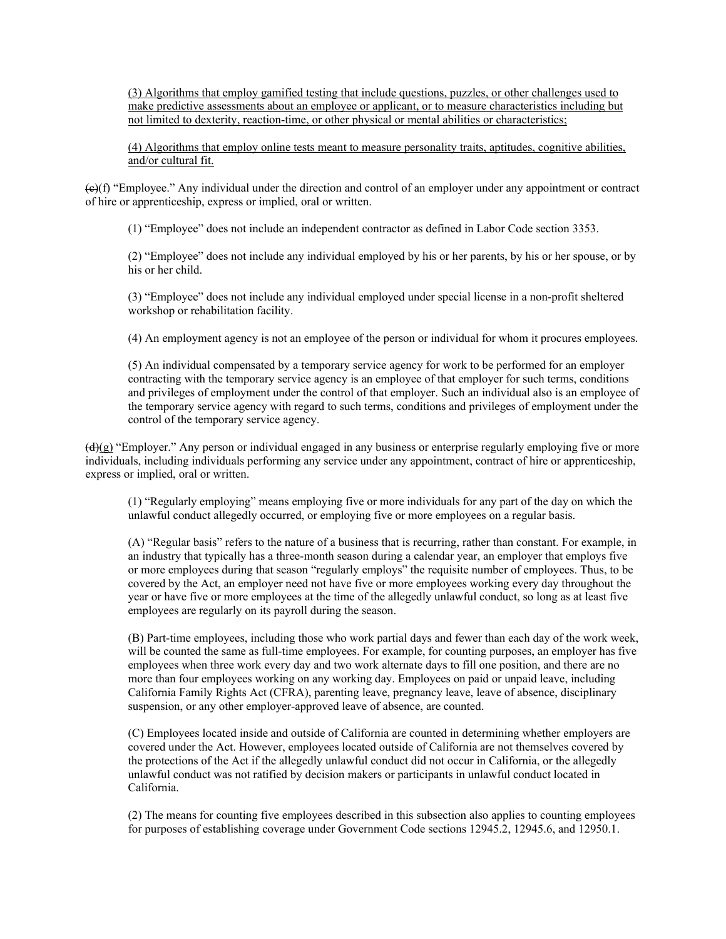(3) Algorithms that employ gamified testing that include questions, puzzles, or other challenges used to make predictive assessments about an employee or applicant, or to measure characteristics including but not limited to dexterity, reaction-time, or other physical or mental abilities or characteristics;

(4) Algorithms that employ online tests meant to measure personality traits, aptitudes, cognitive abilities, and/or cultural fit.

 $(\theta)$  "Employee." Any individual under the direction and control of an employer under any appointment or contract of hire or apprenticeship, express or implied, oral or written.

(1) "Employee" does not include an independent contractor as defined in Labor Code section 3353.

(2) "Employee" does not include any individual employed by his or her parents, by his or her spouse, or by his or her child.

(3) "Employee" does not include any individual employed under special license in a non-profit sheltered workshop or rehabilitation facility.

(4) An employment agency is not an employee of the person or individual for whom it procures employees.

(5) An individual compensated by a temporary service agency for work to be performed for an employer contracting with the temporary service agency is an employee of that employer for such terms, conditions and privileges of employment under the control of that employer. Such an individual also is an employee of the temporary service agency with regard to such terms, conditions and privileges of employment under the control of the temporary service agency.

 $(\hat{\mathbf{d}})(g)$  "Employer." Any person or individual engaged in any business or enterprise regularly employing five or more individuals, including individuals performing any service under any appointment, contract of hire or apprenticeship, express or implied, oral or written.

(1) "Regularly employing" means employing five or more individuals for any part of the day on which the unlawful conduct allegedly occurred, or employing five or more employees on a regular basis.

(A) "Regular basis" refers to the nature of a business that is recurring, rather than constant. For example, in an industry that typically has a three-month season during a calendar year, an employer that employs five or more employees during that season "regularly employs" the requisite number of employees. Thus, to be covered by the Act, an employer need not have five or more employees working every day throughout the year or have five or more employees at the time of the allegedly unlawful conduct, so long as at least five employees are regularly on its payroll during the season.

(B) Part-time employees, including those who work partial days and fewer than each day of the work week, will be counted the same as full-time employees. For example, for counting purposes, an employer has five employees when three work every day and two work alternate days to fill one position, and there are no more than four employees working on any working day. Employees on paid or unpaid leave, including California Family Rights Act (CFRA), parenting leave, pregnancy leave, leave of absence, disciplinary suspension, or any other employer-approved leave of absence, are counted.

(C) Employees located inside and outside of California are counted in determining whether employers are covered under the Act. However, employees located outside of California are not themselves covered by the protections of the Act if the allegedly unlawful conduct did not occur in California, or the allegedly unlawful conduct was not ratified by decision makers or participants in unlawful conduct located in California.

(2) The means for counting five employees described in this subsection also applies to counting employees for purposes of establishing coverage under Government Code sections 12945.2, 12945.6, and 12950.1.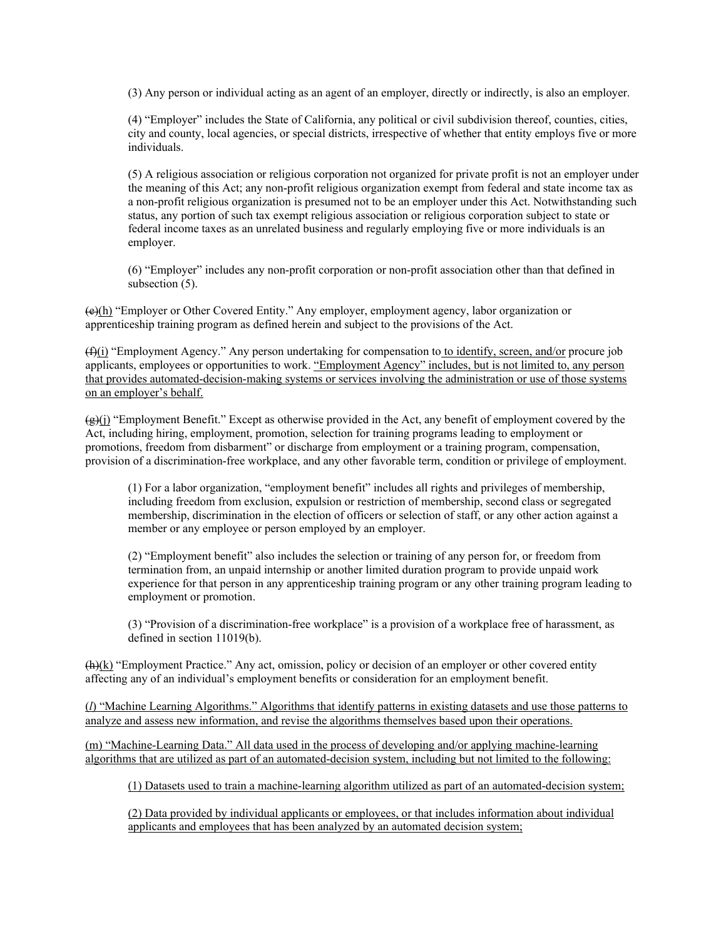(3) Any person or individual acting as an agent of an employer, directly or indirectly, is also an employer.

(4) "Employer" includes the State of California, any political or civil subdivision thereof, counties, cities, city and county, local agencies, or special districts, irrespective of whether that entity employs five or more individuals.

(5) A religious association or religious corporation not organized for private profit is not an employer under the meaning of this Act; any non-profit religious organization exempt from federal and state income tax as a non-profit religious organization is presumed not to be an employer under this Act. Notwithstanding such status, any portion of such tax exempt religious association or religious corporation subject to state or federal income taxes as an unrelated business and regularly employing five or more individuals is an employer.

(6) "Employer" includes any non-profit corporation or non-profit association other than that defined in subsection  $(5)$ .

(e)(h) "Employer or Other Covered Entity." Any employer, employment agency, labor organization or apprenticeship training program as defined herein and subject to the provisions of the Act.

(f)(i) "Employment Agency." Any person undertaking for compensation to to identify, screen, and/or procure job applicants, employees or opportunities to work. "Employment Agency" includes, but is not limited to, any person that provides automated-decision-making systems or services involving the administration or use of those systems on an employer's behalf.

 $(\hat{g})$  "Employment Benefit." Except as otherwise provided in the Act, any benefit of employment covered by the Act, including hiring, employment, promotion, selection for training programs leading to employment or promotions, freedom from disbarment" or discharge from employment or a training program, compensation, provision of a discrimination-free workplace, and any other favorable term, condition or privilege of employment.

(1) For a labor organization, "employment benefit" includes all rights and privileges of membership, including freedom from exclusion, expulsion or restriction of membership, second class or segregated membership, discrimination in the election of officers or selection of staff, or any other action against a member or any employee or person employed by an employer.

(2) "Employment benefit" also includes the selection or training of any person for, or freedom from termination from, an unpaid internship or another limited duration program to provide unpaid work experience for that person in any apprenticeship training program or any other training program leading to employment or promotion.

(3) "Provision of a discrimination-free workplace" is a provision of a workplace free of harassment, as defined in section 11019(b).

 $(h)(k)$  "Employment Practice." Any act, omission, policy or decision of an employer or other covered entity affecting any of an individual's employment benefits or consideration for an employment benefit.

(*l*) "Machine Learning Algorithms." Algorithms that identify patterns in existing datasets and use those patterns to analyze and assess new information, and revise the algorithms themselves based upon their operations.

(m) "Machine-Learning Data." All data used in the process of developing and/or applying machine-learning algorithms that are utilized as part of an automated-decision system, including but not limited to the following:

(1) Datasets used to train a machine-learning algorithm utilized as part of an automated-decision system;

(2) Data provided by individual applicants or employees, or that includes information about individual applicants and employees that has been analyzed by an automated decision system;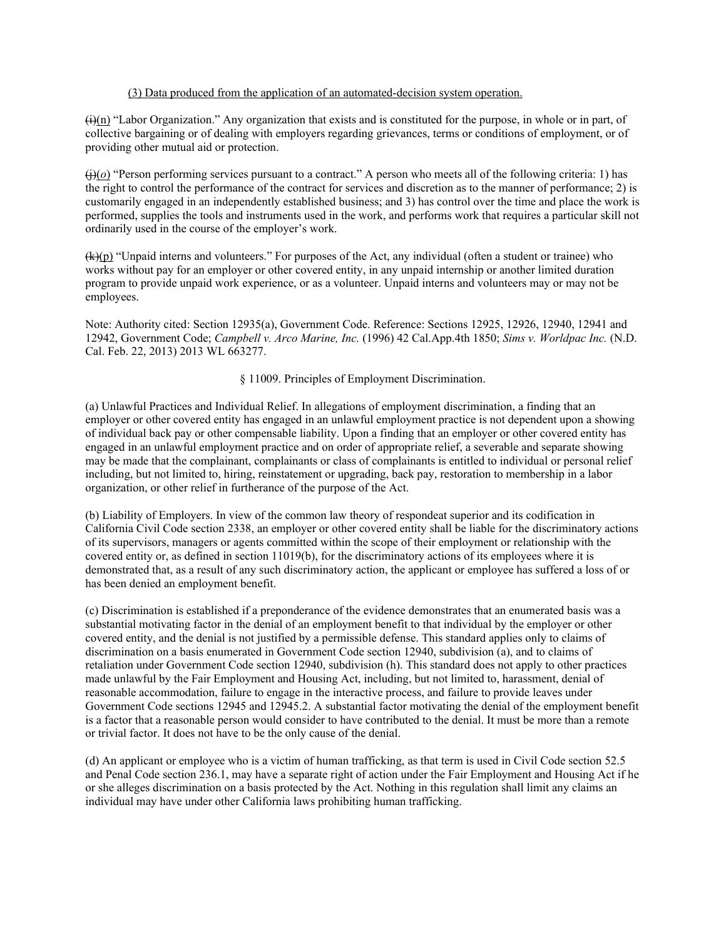#### (3) Data produced from the application of an automated-decision system operation.

 $\frac{\pi}{(i)(n)}$  "Labor Organization." Any organization that exists and is constituted for the purpose, in whole or in part, of collective bargaining or of dealing with employers regarding grievances, terms or conditions of employment, or of providing other mutual aid or protection.

(j)(*o*) "Person performing services pursuant to a contract." A person who meets all of the following criteria: 1) has the right to control the performance of the contract for services and discretion as to the manner of performance; 2) is customarily engaged in an independently established business; and 3) has control over the time and place the work is performed, supplies the tools and instruments used in the work, and performs work that requires a particular skill not ordinarily used in the course of the employer's work.

 $(k)(p)$  "Unpaid interns and volunteers." For purposes of the Act, any individual (often a student or trainee) who works without pay for an employer or other covered entity, in any unpaid internship or another limited duration program to provide unpaid work experience, or as a volunteer. Unpaid interns and volunteers may or may not be employees.

Note: Authority cited: Section 12935(a), Government Code. Reference: Sections 12925, 12926, 12940, 12941 and 12942, Government Code; *Campbell v. Arco Marine, Inc.* (1996) 42 Cal.App.4th 1850; *Sims v. Worldpac Inc.* (N.D. Cal. Feb. 22, 2013) 2013 WL 663277.

#### § 11009. Principles of Employment Discrimination.

(a) Unlawful Practices and Individual Relief. In allegations of employment discrimination, a finding that an employer or other covered entity has engaged in an unlawful employment practice is not dependent upon a showing of individual back pay or other compensable liability. Upon a finding that an employer or other covered entity has engaged in an unlawful employment practice and on order of appropriate relief, a severable and separate showing may be made that the complainant, complainants or class of complainants is entitled to individual or personal relief including, but not limited to, hiring, reinstatement or upgrading, back pay, restoration to membership in a labor organization, or other relief in furtherance of the purpose of the Act.

(b) Liability of Employers. In view of the common law theory of respondeat superior and its codification in California Civil Code section 2338, an employer or other covered entity shall be liable for the discriminatory actions of its supervisors, managers or agents committed within the scope of their employment or relationship with the covered entity or, as defined in section 11019(b), for the discriminatory actions of its employees where it is demonstrated that, as a result of any such discriminatory action, the applicant or employee has suffered a loss of or has been denied an employment benefit.

(c) Discrimination is established if a preponderance of the evidence demonstrates that an enumerated basis was a substantial motivating factor in the denial of an employment benefit to that individual by the employer or other covered entity, and the denial is not justified by a permissible defense. This standard applies only to claims of discrimination on a basis enumerated in Government Code section 12940, subdivision (a), and to claims of retaliation under Government Code section 12940, subdivision (h). This standard does not apply to other practices made unlawful by the Fair Employment and Housing Act, including, but not limited to, harassment, denial of reasonable accommodation, failure to engage in the interactive process, and failure to provide leaves under Government Code sections 12945 and 12945.2. A substantial factor motivating the denial of the employment benefit is a factor that a reasonable person would consider to have contributed to the denial. It must be more than a remote or trivial factor. It does not have to be the only cause of the denial.

(d) An applicant or employee who is a victim of human trafficking, as that term is used in Civil Code section 52.5 and Penal Code section 236.1, may have a separate right of action under the Fair Employment and Housing Act if he or she alleges discrimination on a basis protected by the Act. Nothing in this regulation shall limit any claims an individual may have under other California laws prohibiting human trafficking.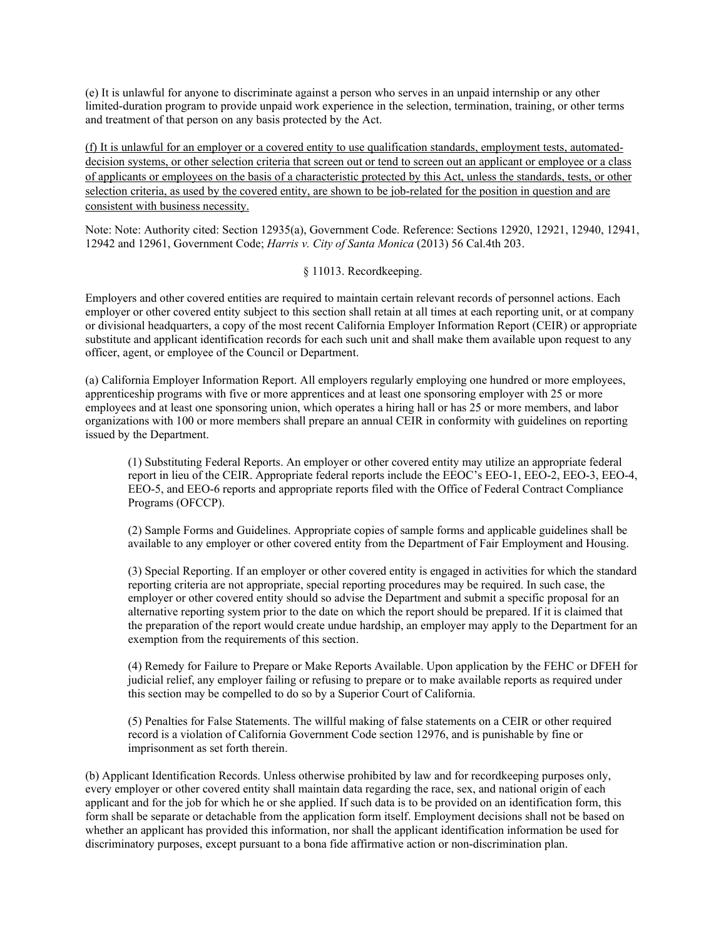(e) It is unlawful for anyone to discriminate against a person who serves in an unpaid internship or any other limited-duration program to provide unpaid work experience in the selection, termination, training, or other terms and treatment of that person on any basis protected by the Act.

(f) It is unlawful for an employer or a covered entity to use qualification standards, employment tests, automateddecision systems, or other selection criteria that screen out or tend to screen out an applicant or employee or a class of applicants or employees on the basis of a characteristic protected by this Act, unless the standards, tests, or other selection criteria, as used by the covered entity, are shown to be job-related for the position in question and are consistent with business necessity.

Note: Note: Authority cited: Section 12935(a), Government Code. Reference: Sections 12920, 12921, 12940, 12941, 12942 and 12961, Government Code; *Harris v. City of Santa Monica* (2013) 56 Cal.4th 203.

§ 11013. Recordkeeping.

Employers and other covered entities are required to maintain certain relevant records of personnel actions. Each employer or other covered entity subject to this section shall retain at all times at each reporting unit, or at company or divisional headquarters, a copy of the most recent California Employer Information Report (CEIR) or appropriate substitute and applicant identification records for each such unit and shall make them available upon request to any officer, agent, or employee of the Council or Department.

(a) California Employer Information Report. All employers regularly employing one hundred or more employees, apprenticeship programs with five or more apprentices and at least one sponsoring employer with 25 or more employees and at least one sponsoring union, which operates a hiring hall or has 25 or more members, and labor organizations with 100 or more members shall prepare an annual CEIR in conformity with guidelines on reporting issued by the Department.

(1) Substituting Federal Reports. An employer or other covered entity may utilize an appropriate federal report in lieu of the CEIR. Appropriate federal reports include the EEOC's EEO-1, EEO-2, EEO-3, EEO-4, EEO-5, and EEO-6 reports and appropriate reports filed with the Office of Federal Contract Compliance Programs (OFCCP).

(2) Sample Forms and Guidelines. Appropriate copies of sample forms and applicable guidelines shall be available to any employer or other covered entity from the Department of Fair Employment and Housing.

(3) Special Reporting. If an employer or other covered entity is engaged in activities for which the standard reporting criteria are not appropriate, special reporting procedures may be required. In such case, the employer or other covered entity should so advise the Department and submit a specific proposal for an alternative reporting system prior to the date on which the report should be prepared. If it is claimed that the preparation of the report would create undue hardship, an employer may apply to the Department for an exemption from the requirements of this section.

(4) Remedy for Failure to Prepare or Make Reports Available. Upon application by the FEHC or DFEH for judicial relief, any employer failing or refusing to prepare or to make available reports as required under this section may be compelled to do so by a Superior Court of California.

(5) Penalties for False Statements. The willful making of false statements on a CEIR or other required record is a violation of California Government Code section 12976, and is punishable by fine or imprisonment as set forth therein.

(b) Applicant Identification Records. Unless otherwise prohibited by law and for recordkeeping purposes only, every employer or other covered entity shall maintain data regarding the race, sex, and national origin of each applicant and for the job for which he or she applied. If such data is to be provided on an identification form, this form shall be separate or detachable from the application form itself. Employment decisions shall not be based on whether an applicant has provided this information, nor shall the applicant identification information be used for discriminatory purposes, except pursuant to a bona fide affirmative action or non-discrimination plan.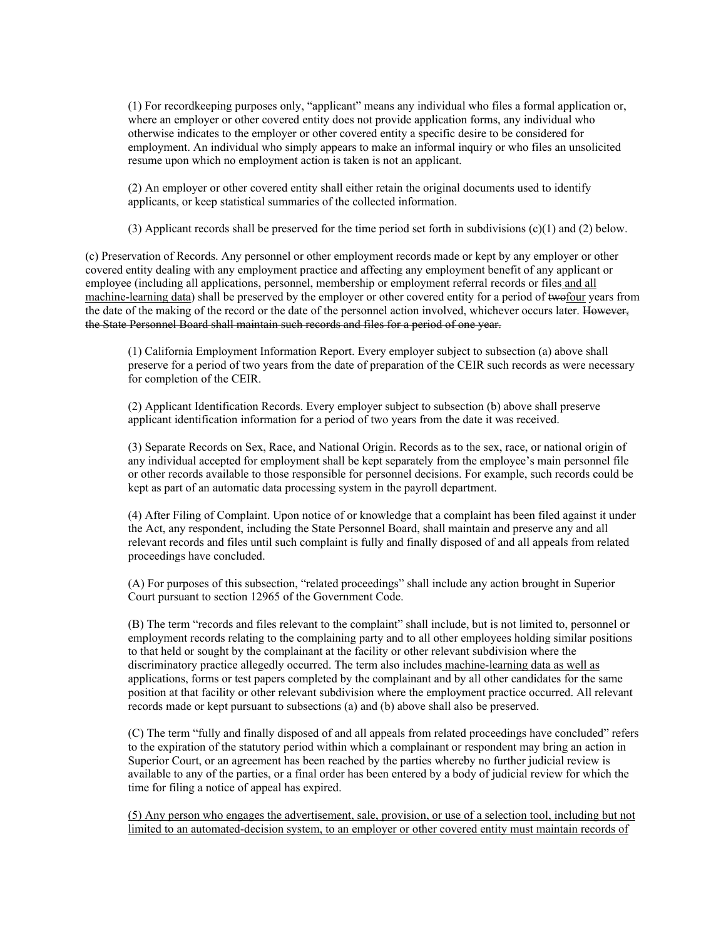(1) For recordkeeping purposes only, "applicant" means any individual who files a formal application or, where an employer or other covered entity does not provide application forms, any individual who otherwise indicates to the employer or other covered entity a specific desire to be considered for employment. An individual who simply appears to make an informal inquiry or who files an unsolicited resume upon which no employment action is taken is not an applicant.

(2) An employer or other covered entity shall either retain the original documents used to identify applicants, or keep statistical summaries of the collected information.

(3) Applicant records shall be preserved for the time period set forth in subdivisions (c)(1) and (2) below.

(c) Preservation of Records. Any personnel or other employment records made or kept by any employer or other covered entity dealing with any employment practice and affecting any employment benefit of any applicant or employee (including all applications, personnel, membership or employment referral records or files and all machine-learning data) shall be preserved by the employer or other covered entity for a period of two four years from the date of the making of the record or the date of the personnel action involved, whichever occurs later. However, the State Personnel Board shall maintain such records and files for a period of one year.

(1) California Employment Information Report. Every employer subject to subsection (a) above shall preserve for a period of two years from the date of preparation of the CEIR such records as were necessary for completion of the CEIR.

(2) Applicant Identification Records. Every employer subject to subsection (b) above shall preserve applicant identification information for a period of two years from the date it was received.

(3) Separate Records on Sex, Race, and National Origin. Records as to the sex, race, or national origin of any individual accepted for employment shall be kept separately from the employee's main personnel file or other records available to those responsible for personnel decisions. For example, such records could be kept as part of an automatic data processing system in the payroll department.

(4) After Filing of Complaint. Upon notice of or knowledge that a complaint has been filed against it under the Act, any respondent, including the State Personnel Board, shall maintain and preserve any and all relevant records and files until such complaint is fully and finally disposed of and all appeals from related proceedings have concluded.

(A) For purposes of this subsection, "related proceedings" shall include any action brought in Superior Court pursuant to section 12965 of the Government Code.

(B) The term "records and files relevant to the complaint" shall include, but is not limited to, personnel or employment records relating to the complaining party and to all other employees holding similar positions to that held or sought by the complainant at the facility or other relevant subdivision where the discriminatory practice allegedly occurred. The term also includes machine-learning data as well as applications, forms or test papers completed by the complainant and by all other candidates for the same position at that facility or other relevant subdivision where the employment practice occurred. All relevant records made or kept pursuant to subsections (a) and (b) above shall also be preserved.

(C) The term "fully and finally disposed of and all appeals from related proceedings have concluded" refers to the expiration of the statutory period within which a complainant or respondent may bring an action in Superior Court, or an agreement has been reached by the parties whereby no further judicial review is available to any of the parties, or a final order has been entered by a body of judicial review for which the time for filing a notice of appeal has expired.

(5) Any person who engages the advertisement, sale, provision, or use of a selection tool, including but not limited to an automated-decision system, to an employer or other covered entity must maintain records of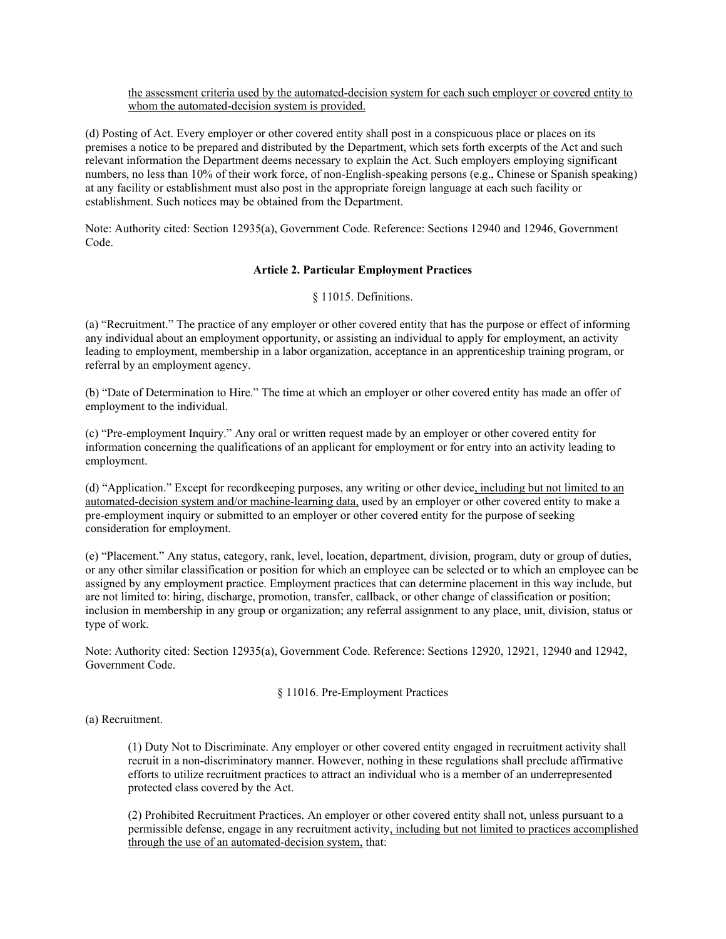the assessment criteria used by the automated-decision system for each such employer or covered entity to whom the automated-decision system is provided.

(d) Posting of Act. Every employer or other covered entity shall post in a conspicuous place or places on its premises a notice to be prepared and distributed by the Department, which sets forth excerpts of the Act and such relevant information the Department deems necessary to explain the Act. Such employers employing significant numbers, no less than 10% of their work force, of non-English-speaking persons (e.g., Chinese or Spanish speaking) at any facility or establishment must also post in the appropriate foreign language at each such facility or establishment. Such notices may be obtained from the Department.

Note: Authority cited: Section 12935(a), Government Code. Reference: Sections 12940 and 12946, Government Code.

#### **Article 2. Particular Employment Practices**

§ 11015. Definitions.

(a) "Recruitment." The practice of any employer or other covered entity that has the purpose or effect of informing any individual about an employment opportunity, or assisting an individual to apply for employment, an activity leading to employment, membership in a labor organization, acceptance in an apprenticeship training program, or referral by an employment agency.

(b) "Date of Determination to Hire." The time at which an employer or other covered entity has made an offer of employment to the individual.

(c) "Pre-employment Inquiry." Any oral or written request made by an employer or other covered entity for information concerning the qualifications of an applicant for employment or for entry into an activity leading to employment.

(d) "Application." Except for recordkeeping purposes, any writing or other device, including but not limited to an automated-decision system and/or machine-learning data, used by an employer or other covered entity to make a pre-employment inquiry or submitted to an employer or other covered entity for the purpose of seeking consideration for employment.

(e) "Placement." Any status, category, rank, level, location, department, division, program, duty or group of duties, or any other similar classification or position for which an employee can be selected or to which an employee can be assigned by any employment practice. Employment practices that can determine placement in this way include, but are not limited to: hiring, discharge, promotion, transfer, callback, or other change of classification or position; inclusion in membership in any group or organization; any referral assignment to any place, unit, division, status or type of work.

Note: Authority cited: Section 12935(a), Government Code. Reference: Sections 12920, 12921, 12940 and 12942, Government Code.

§ 11016. Pre-Employment Practices

(a) Recruitment.

(1) Duty Not to Discriminate. Any employer or other covered entity engaged in recruitment activity shall recruit in a non-discriminatory manner. However, nothing in these regulations shall preclude affirmative efforts to utilize recruitment practices to attract an individual who is a member of an underrepresented protected class covered by the Act.

(2) Prohibited Recruitment Practices. An employer or other covered entity shall not, unless pursuant to a permissible defense, engage in any recruitment activity, including but not limited to practices accomplished through the use of an automated-decision system, that: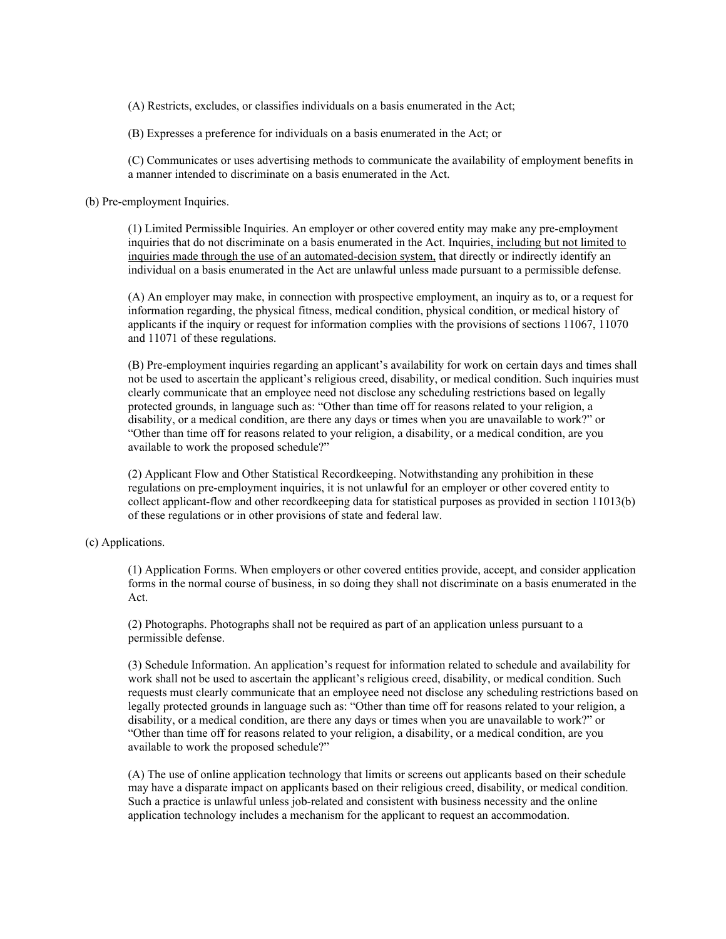(A) Restricts, excludes, or classifies individuals on a basis enumerated in the Act;

(B) Expresses a preference for individuals on a basis enumerated in the Act; or

(C) Communicates or uses advertising methods to communicate the availability of employment benefits in a manner intended to discriminate on a basis enumerated in the Act.

(b) Pre-employment Inquiries.

(1) Limited Permissible Inquiries. An employer or other covered entity may make any pre-employment inquiries that do not discriminate on a basis enumerated in the Act. Inquiries, including but not limited to inquiries made through the use of an automated-decision system, that directly or indirectly identify an individual on a basis enumerated in the Act are unlawful unless made pursuant to a permissible defense.

(A) An employer may make, in connection with prospective employment, an inquiry as to, or a request for information regarding, the physical fitness, medical condition, physical condition, or medical history of applicants if the inquiry or request for information complies with the provisions of sections 11067, 11070 and 11071 of these regulations.

(B) Pre-employment inquiries regarding an applicant's availability for work on certain days and times shall not be used to ascertain the applicant's religious creed, disability, or medical condition. Such inquiries must clearly communicate that an employee need not disclose any scheduling restrictions based on legally protected grounds, in language such as: "Other than time off for reasons related to your religion, a disability, or a medical condition, are there any days or times when you are unavailable to work?" or "Other than time off for reasons related to your religion, a disability, or a medical condition, are you available to work the proposed schedule?"

(2) Applicant Flow and Other Statistical Recordkeeping. Notwithstanding any prohibition in these regulations on pre-employment inquiries, it is not unlawful for an employer or other covered entity to collect applicant-flow and other recordkeeping data for statistical purposes as provided in section 11013(b) of these regulations or in other provisions of state and federal law.

#### (c) Applications.

(1) Application Forms. When employers or other covered entities provide, accept, and consider application forms in the normal course of business, in so doing they shall not discriminate on a basis enumerated in the Act.

(2) Photographs. Photographs shall not be required as part of an application unless pursuant to a permissible defense.

(3) Schedule Information. An application's request for information related to schedule and availability for work shall not be used to ascertain the applicant's religious creed, disability, or medical condition. Such requests must clearly communicate that an employee need not disclose any scheduling restrictions based on legally protected grounds in language such as: "Other than time off for reasons related to your religion, a disability, or a medical condition, are there any days or times when you are unavailable to work?" or "Other than time off for reasons related to your religion, a disability, or a medical condition, are you available to work the proposed schedule?"

(A) The use of online application technology that limits or screens out applicants based on their schedule may have a disparate impact on applicants based on their religious creed, disability, or medical condition. Such a practice is unlawful unless job-related and consistent with business necessity and the online application technology includes a mechanism for the applicant to request an accommodation.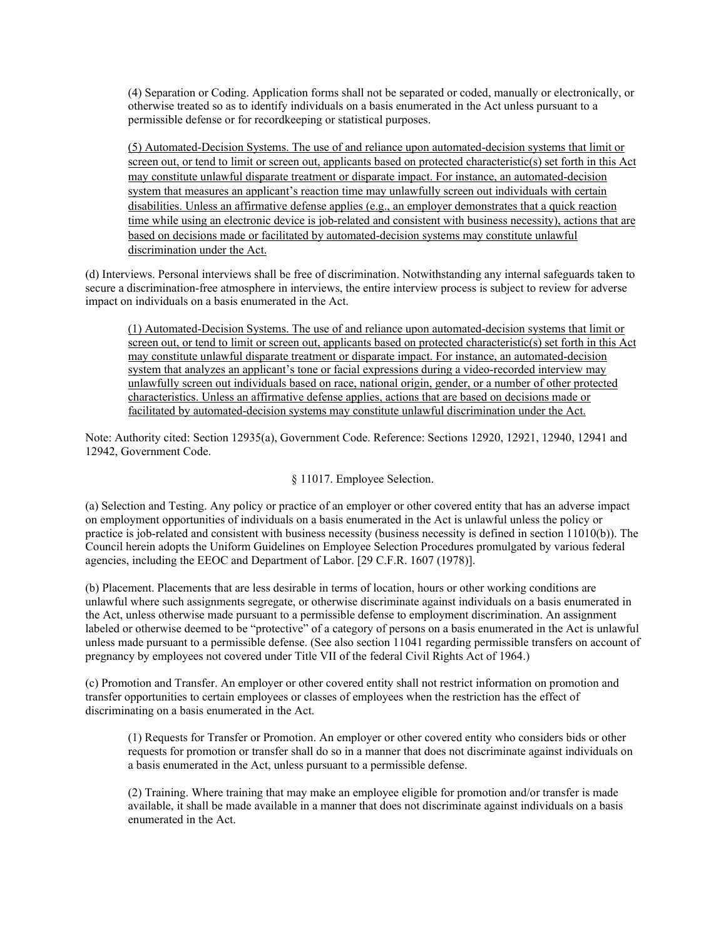(4) Separation or Coding. Application forms shall not be separated or coded, manually or electronically, or otherwise treated so as to identify individuals on a basis enumerated in the Act unless pursuant to a permissible defense or for recordkeeping or statistical purposes.

(5) Automated-Decision Systems. The use of and reliance upon automated-decision systems that limit or screen out, or tend to limit or screen out, applicants based on protected characteristic(s) set forth in this Act may constitute unlawful disparate treatment or disparate impact. For instance, an automated-decision system that measures an applicant's reaction time may unlawfully screen out individuals with certain disabilities. Unless an affirmative defense applies (e.g., an employer demonstrates that a quick reaction time while using an electronic device is job-related and consistent with business necessity), actions that are based on decisions made or facilitated by automated-decision systems may constitute unlawful discrimination under the Act.

(d) Interviews. Personal interviews shall be free of discrimination. Notwithstanding any internal safeguards taken to secure a discrimination-free atmosphere in interviews, the entire interview process is subject to review for adverse impact on individuals on a basis enumerated in the Act.

(1) Automated-Decision Systems. The use of and reliance upon automated-decision systems that limit or screen out, or tend to limit or screen out, applicants based on protected characteristic(s) set forth in this Act may constitute unlawful disparate treatment or disparate impact. For instance, an automated-decision system that analyzes an applicant's tone or facial expressions during a video-recorded interview may unlawfully screen out individuals based on race, national origin, gender, or a number of other protected characteristics. Unless an affirmative defense applies, actions that are based on decisions made or facilitated by automated-decision systems may constitute unlawful discrimination under the Act.

Note: Authority cited: Section 12935(a), Government Code. Reference: Sections 12920, 12921, 12940, 12941 and 12942, Government Code.

#### § 11017. Employee Selection.

(a) Selection and Testing. Any policy or practice of an employer or other covered entity that has an adverse impact on employment opportunities of individuals on a basis enumerated in the Act is unlawful unless the policy or practice is job-related and consistent with business necessity (business necessity is defined in section 11010(b)). The Council herein adopts the Uniform Guidelines on Employee Selection Procedures promulgated by various federal agencies, including the EEOC and Department of Labor. [29 C.F.R. 1607 (1978)].

(b) Placement. Placements that are less desirable in terms of location, hours or other working conditions are unlawful where such assignments segregate, or otherwise discriminate against individuals on a basis enumerated in the Act, unless otherwise made pursuant to a permissible defense to employment discrimination. An assignment labeled or otherwise deemed to be "protective" of a category of persons on a basis enumerated in the Act is unlawful unless made pursuant to a permissible defense. (See also section 11041 regarding permissible transfers on account of pregnancy by employees not covered under Title VII of the federal Civil Rights Act of 1964.)

(c) Promotion and Transfer. An employer or other covered entity shall not restrict information on promotion and transfer opportunities to certain employees or classes of employees when the restriction has the effect of discriminating on a basis enumerated in the Act.

(1) Requests for Transfer or Promotion. An employer or other covered entity who considers bids or other requests for promotion or transfer shall do so in a manner that does not discriminate against individuals on a basis enumerated in the Act, unless pursuant to a permissible defense.

(2) Training. Where training that may make an employee eligible for promotion and/or transfer is made available, it shall be made available in a manner that does not discriminate against individuals on a basis enumerated in the Act.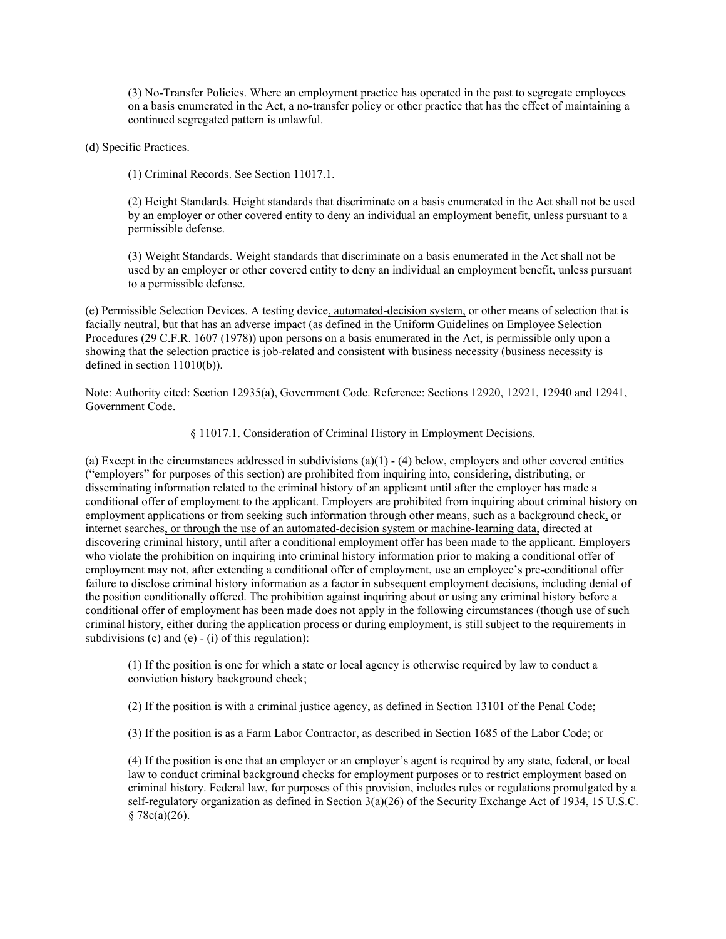(3) No-Transfer Policies. Where an employment practice has operated in the past to segregate employees on a basis enumerated in the Act, a no-transfer policy or other practice that has the effect of maintaining a continued segregated pattern is unlawful.

(d) Specific Practices.

(1) Criminal Records. See Section 11017.1.

(2) Height Standards. Height standards that discriminate on a basis enumerated in the Act shall not be used by an employer or other covered entity to deny an individual an employment benefit, unless pursuant to a permissible defense.

(3) Weight Standards. Weight standards that discriminate on a basis enumerated in the Act shall not be used by an employer or other covered entity to deny an individual an employment benefit, unless pursuant to a permissible defense.

(e) Permissible Selection Devices. A testing device, automated-decision system, or other means of selection that is facially neutral, but that has an adverse impact (as defined in the Uniform Guidelines on Employee Selection Procedures (29 C.F.R. 1607 (1978)) upon persons on a basis enumerated in the Act, is permissible only upon a showing that the selection practice is job-related and consistent with business necessity (business necessity is defined in section 11010(b)).

Note: Authority cited: Section 12935(a), Government Code. Reference: Sections 12920, 12921, 12940 and 12941, Government Code.

§ 11017.1. Consideration of Criminal History in Employment Decisions.

(a) Except in the circumstances addressed in subdivisions  $(a)(1) - (4)$  below, employers and other covered entities ("employers" for purposes of this section) are prohibited from inquiring into, considering, distributing, or disseminating information related to the criminal history of an applicant until after the employer has made a conditional offer of employment to the applicant. Employers are prohibited from inquiring about criminal history on employment applications or from seeking such information through other means, such as a background check, or internet searches, or through the use of an automated-decision system or machine-learning data, directed at discovering criminal history, until after a conditional employment offer has been made to the applicant. Employers who violate the prohibition on inquiring into criminal history information prior to making a conditional offer of employment may not, after extending a conditional offer of employment, use an employee's pre-conditional offer failure to disclose criminal history information as a factor in subsequent employment decisions, including denial of the position conditionally offered. The prohibition against inquiring about or using any criminal history before a conditional offer of employment has been made does not apply in the following circumstances (though use of such criminal history, either during the application process or during employment, is still subject to the requirements in subdivisions  $(c)$  and  $(e)$  -  $(i)$  of this regulation):

(1) If the position is one for which a state or local agency is otherwise required by law to conduct a conviction history background check;

(2) If the position is with a criminal justice agency, as defined in Section 13101 of the Penal Code;

(3) If the position is as a Farm Labor Contractor, as described in Section 1685 of the Labor Code; or

(4) If the position is one that an employer or an employer's agent is required by any state, federal, or local law to conduct criminal background checks for employment purposes or to restrict employment based on criminal history. Federal law, for purposes of this provision, includes rules or regulations promulgated by a self-regulatory organization as defined in Section 3(a)(26) of the Security Exchange Act of 1934, 15 U.S.C.  $§ 78c(a)(26).$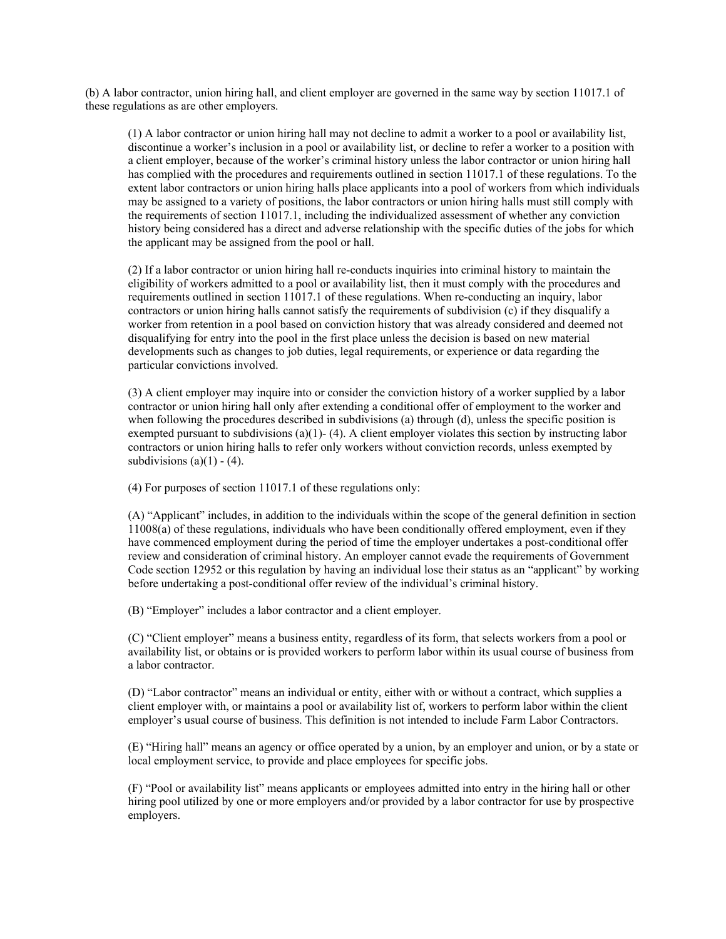(b) A labor contractor, union hiring hall, and client employer are governed in the same way by section 11017.1 of these regulations as are other employers.

(1) A labor contractor or union hiring hall may not decline to admit a worker to a pool or availability list, discontinue a worker's inclusion in a pool or availability list, or decline to refer a worker to a position with a client employer, because of the worker's criminal history unless the labor contractor or union hiring hall has complied with the procedures and requirements outlined in section 11017.1 of these regulations. To the extent labor contractors or union hiring halls place applicants into a pool of workers from which individuals may be assigned to a variety of positions, the labor contractors or union hiring halls must still comply with the requirements of section 11017.1, including the individualized assessment of whether any conviction history being considered has a direct and adverse relationship with the specific duties of the jobs for which the applicant may be assigned from the pool or hall.

(2) If a labor contractor or union hiring hall re-conducts inquiries into criminal history to maintain the eligibility of workers admitted to a pool or availability list, then it must comply with the procedures and requirements outlined in section 11017.1 of these regulations. When re-conducting an inquiry, labor contractors or union hiring halls cannot satisfy the requirements of subdivision (c) if they disqualify a worker from retention in a pool based on conviction history that was already considered and deemed not disqualifying for entry into the pool in the first place unless the decision is based on new material developments such as changes to job duties, legal requirements, or experience or data regarding the particular convictions involved.

(3) A client employer may inquire into or consider the conviction history of a worker supplied by a labor contractor or union hiring hall only after extending a conditional offer of employment to the worker and when following the procedures described in subdivisions (a) through (d), unless the specific position is exempted pursuant to subdivisions  $(a)(1)$ - (4). A client employer violates this section by instructing labor contractors or union hiring halls to refer only workers without conviction records, unless exempted by subdivisions  $(a)(1) - (4)$ .

(4) For purposes of section 11017.1 of these regulations only:

(A) "Applicant" includes, in addition to the individuals within the scope of the general definition in section 11008(a) of these regulations, individuals who have been conditionally offered employment, even if they have commenced employment during the period of time the employer undertakes a post-conditional offer review and consideration of criminal history. An employer cannot evade the requirements of Government Code section 12952 or this regulation by having an individual lose their status as an "applicant" by working before undertaking a post-conditional offer review of the individual's criminal history.

(B) "Employer" includes a labor contractor and a client employer.

(C) "Client employer" means a business entity, regardless of its form, that selects workers from a pool or availability list, or obtains or is provided workers to perform labor within its usual course of business from a labor contractor.

(D) "Labor contractor" means an individual or entity, either with or without a contract, which supplies a client employer with, or maintains a pool or availability list of, workers to perform labor within the client employer's usual course of business. This definition is not intended to include Farm Labor Contractors.

(E) "Hiring hall" means an agency or office operated by a union, by an employer and union, or by a state or local employment service, to provide and place employees for specific jobs.

(F) "Pool or availability list" means applicants or employees admitted into entry in the hiring hall or other hiring pool utilized by one or more employers and/or provided by a labor contractor for use by prospective employers.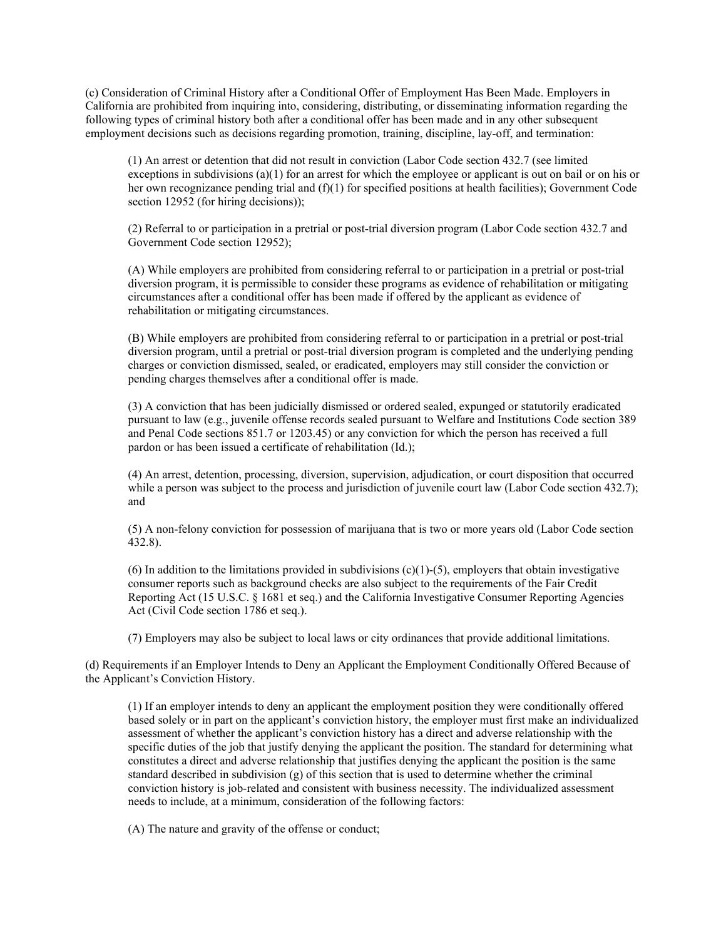(c) Consideration of Criminal History after a Conditional Offer of Employment Has Been Made. Employers in California are prohibited from inquiring into, considering, distributing, or disseminating information regarding the following types of criminal history both after a conditional offer has been made and in any other subsequent employment decisions such as decisions regarding promotion, training, discipline, lay-off, and termination:

(1) An arrest or detention that did not result in conviction (Labor Code section 432.7 (see limited exceptions in subdivisions  $(a)(1)$  for an arrest for which the employee or applicant is out on bail or on his or her own recognizance pending trial and  $(f)(1)$  for specified positions at health facilities); Government Code section 12952 (for hiring decisions));

(2) Referral to or participation in a pretrial or post-trial diversion program (Labor Code section 432.7 and Government Code section 12952);

(A) While employers are prohibited from considering referral to or participation in a pretrial or post-trial diversion program, it is permissible to consider these programs as evidence of rehabilitation or mitigating circumstances after a conditional offer has been made if offered by the applicant as evidence of rehabilitation or mitigating circumstances.

(B) While employers are prohibited from considering referral to or participation in a pretrial or post-trial diversion program, until a pretrial or post-trial diversion program is completed and the underlying pending charges or conviction dismissed, sealed, or eradicated, employers may still consider the conviction or pending charges themselves after a conditional offer is made.

(3) A conviction that has been judicially dismissed or ordered sealed, expunged or statutorily eradicated pursuant to law (e.g., juvenile offense records sealed pursuant to Welfare and Institutions Code section 389 and Penal Code sections 851.7 or 1203.45) or any conviction for which the person has received a full pardon or has been issued a certificate of rehabilitation (Id.);

(4) An arrest, detention, processing, diversion, supervision, adjudication, or court disposition that occurred while a person was subject to the process and jurisdiction of juvenile court law (Labor Code section 432.7); and

(5) A non-felony conviction for possession of marijuana that is two or more years old (Labor Code section 432.8).

(6) In addition to the limitations provided in subdivisions  $(c)(1)-(5)$ , employers that obtain investigative consumer reports such as background checks are also subject to the requirements of the Fair Credit Reporting Act (15 U.S.C. § 1681 et seq.) and the California Investigative Consumer Reporting Agencies Act (Civil Code section 1786 et seq.).

(7) Employers may also be subject to local laws or city ordinances that provide additional limitations.

(d) Requirements if an Employer Intends to Deny an Applicant the Employment Conditionally Offered Because of the Applicant's Conviction History.

(1) If an employer intends to deny an applicant the employment position they were conditionally offered based solely or in part on the applicant's conviction history, the employer must first make an individualized assessment of whether the applicant's conviction history has a direct and adverse relationship with the specific duties of the job that justify denying the applicant the position. The standard for determining what constitutes a direct and adverse relationship that justifies denying the applicant the position is the same standard described in subdivision (g) of this section that is used to determine whether the criminal conviction history is job-related and consistent with business necessity. The individualized assessment needs to include, at a minimum, consideration of the following factors:

(A) The nature and gravity of the offense or conduct;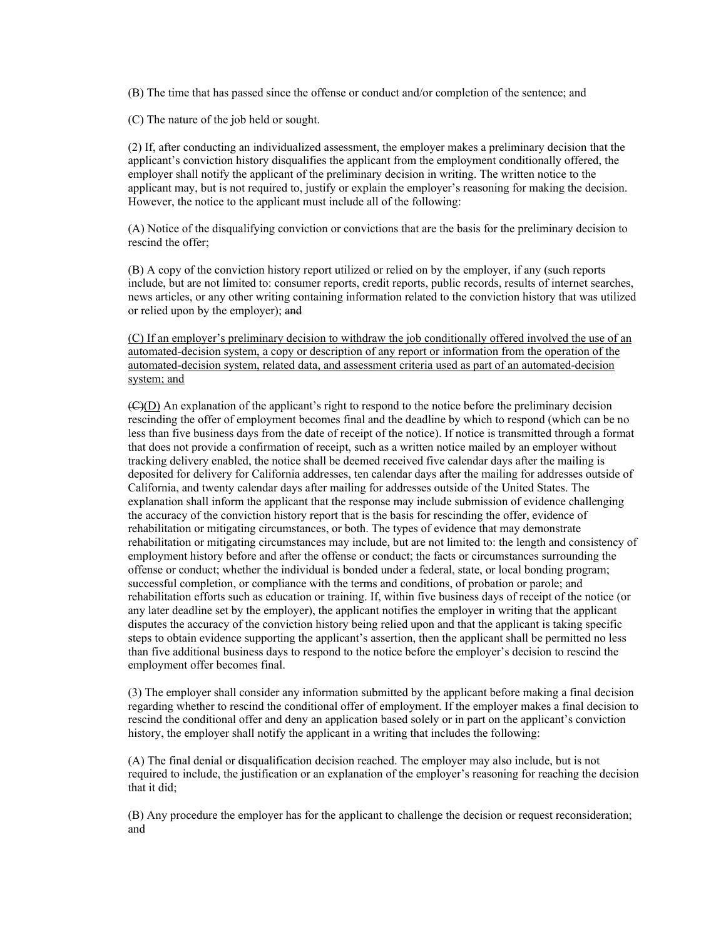(B) The time that has passed since the offense or conduct and/or completion of the sentence; and

(C) The nature of the job held or sought.

(2) If, after conducting an individualized assessment, the employer makes a preliminary decision that the applicant's conviction history disqualifies the applicant from the employment conditionally offered, the employer shall notify the applicant of the preliminary decision in writing. The written notice to the applicant may, but is not required to, justify or explain the employer's reasoning for making the decision. However, the notice to the applicant must include all of the following:

(A) Notice of the disqualifying conviction or convictions that are the basis for the preliminary decision to rescind the offer;

(B) A copy of the conviction history report utilized or relied on by the employer, if any (such reports include, but are not limited to: consumer reports, credit reports, public records, results of internet searches, news articles, or any other writing containing information related to the conviction history that was utilized or relied upon by the employer); and

(C) If an employer's preliminary decision to withdraw the job conditionally offered involved the use of an automated-decision system, a copy or description of any report or information from the operation of the automated-decision system, related data, and assessment criteria used as part of an automated-decision system; and

 $(\epsilon)$ (D) An explanation of the applicant's right to respond to the notice before the preliminary decision rescinding the offer of employment becomes final and the deadline by which to respond (which can be no less than five business days from the date of receipt of the notice). If notice is transmitted through a format that does not provide a confirmation of receipt, such as a written notice mailed by an employer without tracking delivery enabled, the notice shall be deemed received five calendar days after the mailing is deposited for delivery for California addresses, ten calendar days after the mailing for addresses outside of California, and twenty calendar days after mailing for addresses outside of the United States. The explanation shall inform the applicant that the response may include submission of evidence challenging the accuracy of the conviction history report that is the basis for rescinding the offer, evidence of rehabilitation or mitigating circumstances, or both. The types of evidence that may demonstrate rehabilitation or mitigating circumstances may include, but are not limited to: the length and consistency of employment history before and after the offense or conduct; the facts or circumstances surrounding the offense or conduct; whether the individual is bonded under a federal, state, or local bonding program; successful completion, or compliance with the terms and conditions, of probation or parole; and rehabilitation efforts such as education or training. If, within five business days of receipt of the notice (or any later deadline set by the employer), the applicant notifies the employer in writing that the applicant disputes the accuracy of the conviction history being relied upon and that the applicant is taking specific steps to obtain evidence supporting the applicant's assertion, then the applicant shall be permitted no less than five additional business days to respond to the notice before the employer's decision to rescind the employment offer becomes final.

(3) The employer shall consider any information submitted by the applicant before making a final decision regarding whether to rescind the conditional offer of employment. If the employer makes a final decision to rescind the conditional offer and deny an application based solely or in part on the applicant's conviction history, the employer shall notify the applicant in a writing that includes the following:

(A) The final denial or disqualification decision reached. The employer may also include, but is not required to include, the justification or an explanation of the employer's reasoning for reaching the decision that it did;

(B) Any procedure the employer has for the applicant to challenge the decision or request reconsideration; and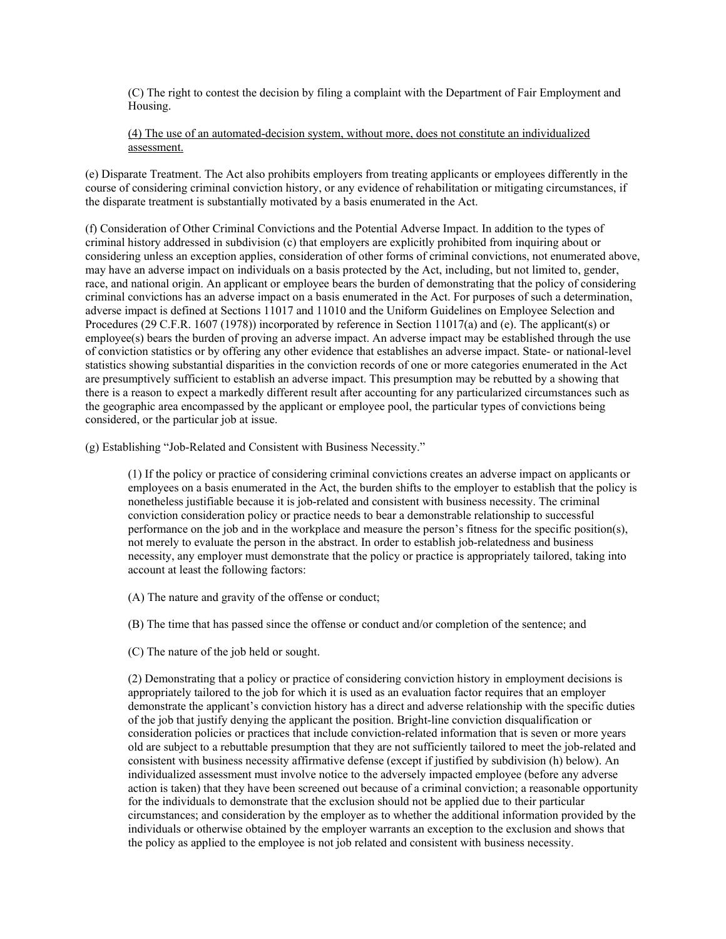(C) The right to contest the decision by filing a complaint with the Department of Fair Employment and Housing.

(4) The use of an automated-decision system, without more, does not constitute an individualized assessment.

(e) Disparate Treatment. The Act also prohibits employers from treating applicants or employees differently in the course of considering criminal conviction history, or any evidence of rehabilitation or mitigating circumstances, if the disparate treatment is substantially motivated by a basis enumerated in the Act.

(f) Consideration of Other Criminal Convictions and the Potential Adverse Impact. In addition to the types of criminal history addressed in subdivision (c) that employers are explicitly prohibited from inquiring about or considering unless an exception applies, consideration of other forms of criminal convictions, not enumerated above, may have an adverse impact on individuals on a basis protected by the Act, including, but not limited to, gender, race, and national origin. An applicant or employee bears the burden of demonstrating that the policy of considering criminal convictions has an adverse impact on a basis enumerated in the Act. For purposes of such a determination, adverse impact is defined at Sections 11017 and 11010 and the Uniform Guidelines on Employee Selection and Procedures (29 C.F.R. 1607 (1978)) incorporated by reference in Section 11017(a) and (e). The applicant(s) or employee(s) bears the burden of proving an adverse impact. An adverse impact may be established through the use of conviction statistics or by offering any other evidence that establishes an adverse impact. State- or national-level statistics showing substantial disparities in the conviction records of one or more categories enumerated in the Act are presumptively sufficient to establish an adverse impact. This presumption may be rebutted by a showing that there is a reason to expect a markedly different result after accounting for any particularized circumstances such as the geographic area encompassed by the applicant or employee pool, the particular types of convictions being considered, or the particular job at issue.

(g) Establishing "Job-Related and Consistent with Business Necessity."

(1) If the policy or practice of considering criminal convictions creates an adverse impact on applicants or employees on a basis enumerated in the Act, the burden shifts to the employer to establish that the policy is nonetheless justifiable because it is job-related and consistent with business necessity. The criminal conviction consideration policy or practice needs to bear a demonstrable relationship to successful performance on the job and in the workplace and measure the person's fitness for the specific position(s), not merely to evaluate the person in the abstract. In order to establish job-relatedness and business necessity, any employer must demonstrate that the policy or practice is appropriately tailored, taking into account at least the following factors:

(A) The nature and gravity of the offense or conduct;

(B) The time that has passed since the offense or conduct and/or completion of the sentence; and

(C) The nature of the job held or sought.

(2) Demonstrating that a policy or practice of considering conviction history in employment decisions is appropriately tailored to the job for which it is used as an evaluation factor requires that an employer demonstrate the applicant's conviction history has a direct and adverse relationship with the specific duties of the job that justify denying the applicant the position. Bright-line conviction disqualification or consideration policies or practices that include conviction-related information that is seven or more years old are subject to a rebuttable presumption that they are not sufficiently tailored to meet the job-related and consistent with business necessity affirmative defense (except if justified by subdivision (h) below). An individualized assessment must involve notice to the adversely impacted employee (before any adverse action is taken) that they have been screened out because of a criminal conviction; a reasonable opportunity for the individuals to demonstrate that the exclusion should not be applied due to their particular circumstances; and consideration by the employer as to whether the additional information provided by the individuals or otherwise obtained by the employer warrants an exception to the exclusion and shows that the policy as applied to the employee is not job related and consistent with business necessity.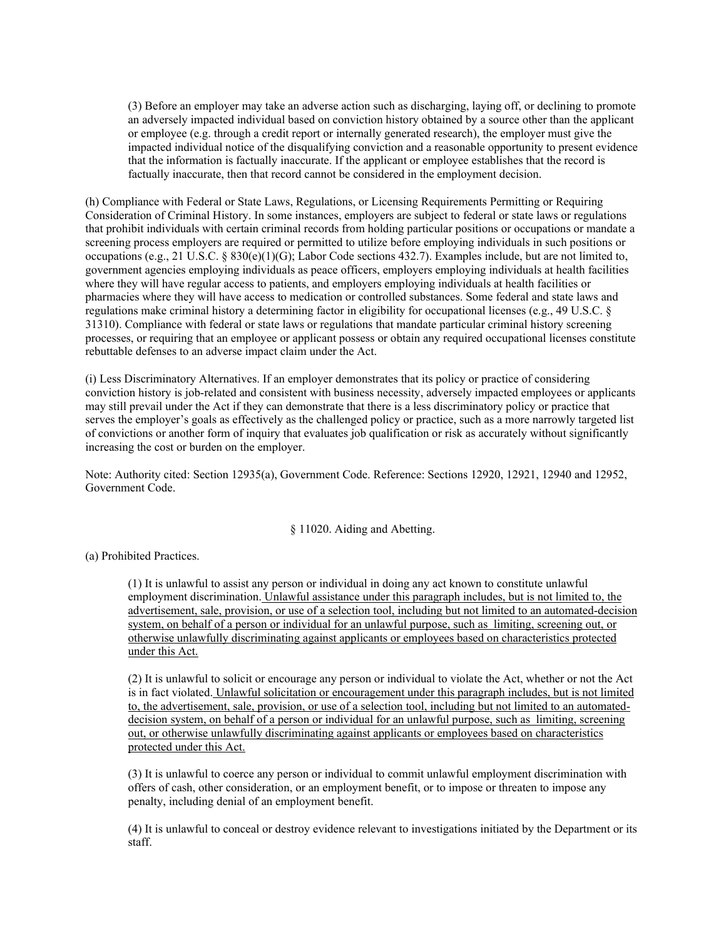(3) Before an employer may take an adverse action such as discharging, laying off, or declining to promote an adversely impacted individual based on conviction history obtained by a source other than the applicant or employee (e.g. through a credit report or internally generated research), the employer must give the impacted individual notice of the disqualifying conviction and a reasonable opportunity to present evidence that the information is factually inaccurate. If the applicant or employee establishes that the record is factually inaccurate, then that record cannot be considered in the employment decision.

(h) Compliance with Federal or State Laws, Regulations, or Licensing Requirements Permitting or Requiring Consideration of Criminal History. In some instances, employers are subject to federal or state laws or regulations that prohibit individuals with certain criminal records from holding particular positions or occupations or mandate a screening process employers are required or permitted to utilize before employing individuals in such positions or occupations (e.g., 21 U.S.C. § 830(e)(1)(G); Labor Code sections 432.7). Examples include, but are not limited to, government agencies employing individuals as peace officers, employers employing individuals at health facilities where they will have regular access to patients, and employers employing individuals at health facilities or pharmacies where they will have access to medication or controlled substances. Some federal and state laws and regulations make criminal history a determining factor in eligibility for occupational licenses (e.g., 49 U.S.C. § 31310). Compliance with federal or state laws or regulations that mandate particular criminal history screening processes, or requiring that an employee or applicant possess or obtain any required occupational licenses constitute rebuttable defenses to an adverse impact claim under the Act.

(i) Less Discriminatory Alternatives. If an employer demonstrates that its policy or practice of considering conviction history is job-related and consistent with business necessity, adversely impacted employees or applicants may still prevail under the Act if they can demonstrate that there is a less discriminatory policy or practice that serves the employer's goals as effectively as the challenged policy or practice, such as a more narrowly targeted list of convictions or another form of inquiry that evaluates job qualification or risk as accurately without significantly increasing the cost or burden on the employer.

Note: Authority cited: Section 12935(a), Government Code. Reference: Sections 12920, 12921, 12940 and 12952, Government Code.

#### § 11020. Aiding and Abetting.

(a) Prohibited Practices.

(1) It is unlawful to assist any person or individual in doing any act known to constitute unlawful employment discrimination. Unlawful assistance under this paragraph includes, but is not limited to, the advertisement, sale, provision, or use of a selection tool, including but not limited to an automated-decision system, on behalf of a person or individual for an unlawful purpose, such as limiting, screening out, or otherwise unlawfully discriminating against applicants or employees based on characteristics protected under this Act.

(2) It is unlawful to solicit or encourage any person or individual to violate the Act, whether or not the Act is in fact violated. Unlawful solicitation or encouragement under this paragraph includes, but is not limited to, the advertisement, sale, provision, or use of a selection tool, including but not limited to an automateddecision system, on behalf of a person or individual for an unlawful purpose, such as limiting, screening out, or otherwise unlawfully discriminating against applicants or employees based on characteristics protected under this Act.

(3) It is unlawful to coerce any person or individual to commit unlawful employment discrimination with offers of cash, other consideration, or an employment benefit, or to impose or threaten to impose any penalty, including denial of an employment benefit.

(4) It is unlawful to conceal or destroy evidence relevant to investigations initiated by the Department or its staff.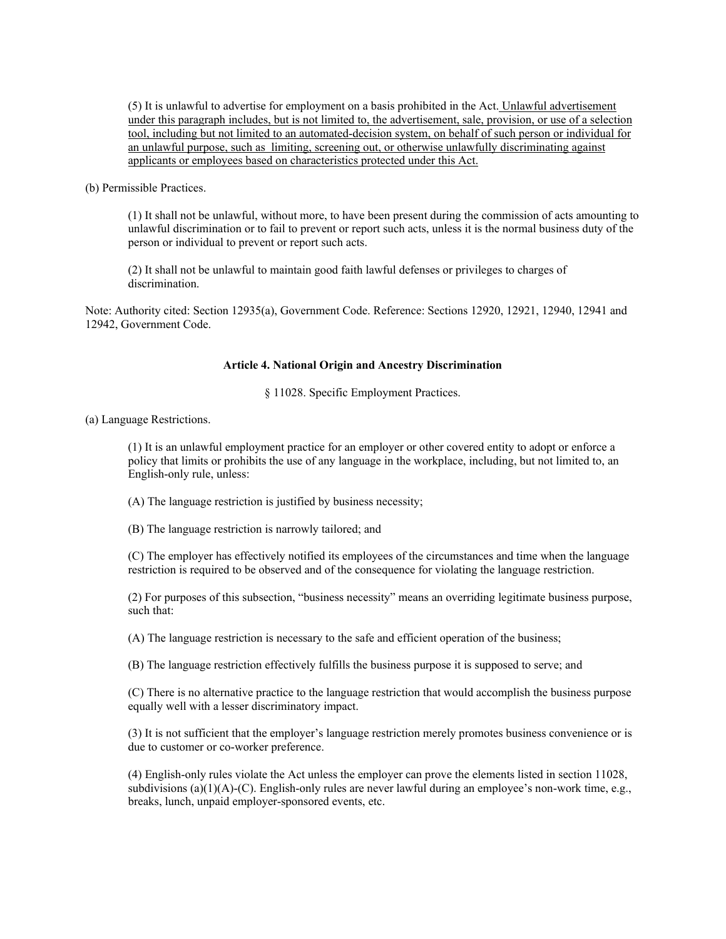(5) It is unlawful to advertise for employment on a basis prohibited in the Act. Unlawful advertisement under this paragraph includes, but is not limited to, the advertisement, sale, provision, or use of a selection tool, including but not limited to an automated-decision system, on behalf of such person or individual for an unlawful purpose, such as limiting, screening out, or otherwise unlawfully discriminating against applicants or employees based on characteristics protected under this Act.

(b) Permissible Practices.

(1) It shall not be unlawful, without more, to have been present during the commission of acts amounting to unlawful discrimination or to fail to prevent or report such acts, unless it is the normal business duty of the person or individual to prevent or report such acts.

(2) It shall not be unlawful to maintain good faith lawful defenses or privileges to charges of discrimination.

Note: Authority cited: Section 12935(a), Government Code. Reference: Sections 12920, 12921, 12940, 12941 and 12942, Government Code.

#### **Article 4. National Origin and Ancestry Discrimination**

§ 11028. Specific Employment Practices.

(a) Language Restrictions.

(1) It is an unlawful employment practice for an employer or other covered entity to adopt or enforce a policy that limits or prohibits the use of any language in the workplace, including, but not limited to, an English-only rule, unless:

(A) The language restriction is justified by business necessity;

(B) The language restriction is narrowly tailored; and

(C) The employer has effectively notified its employees of the circumstances and time when the language restriction is required to be observed and of the consequence for violating the language restriction.

(2) For purposes of this subsection, "business necessity" means an overriding legitimate business purpose, such that:

(A) The language restriction is necessary to the safe and efficient operation of the business;

(B) The language restriction effectively fulfills the business purpose it is supposed to serve; and

(C) There is no alternative practice to the language restriction that would accomplish the business purpose equally well with a lesser discriminatory impact.

(3) It is not sufficient that the employer's language restriction merely promotes business convenience or is due to customer or co-worker preference.

(4) English-only rules violate the Act unless the employer can prove the elements listed in section 11028, subdivisions  $(a)(1)(A)-(C)$ . English-only rules are never lawful during an employee's non-work time, e.g., breaks, lunch, unpaid employer-sponsored events, etc.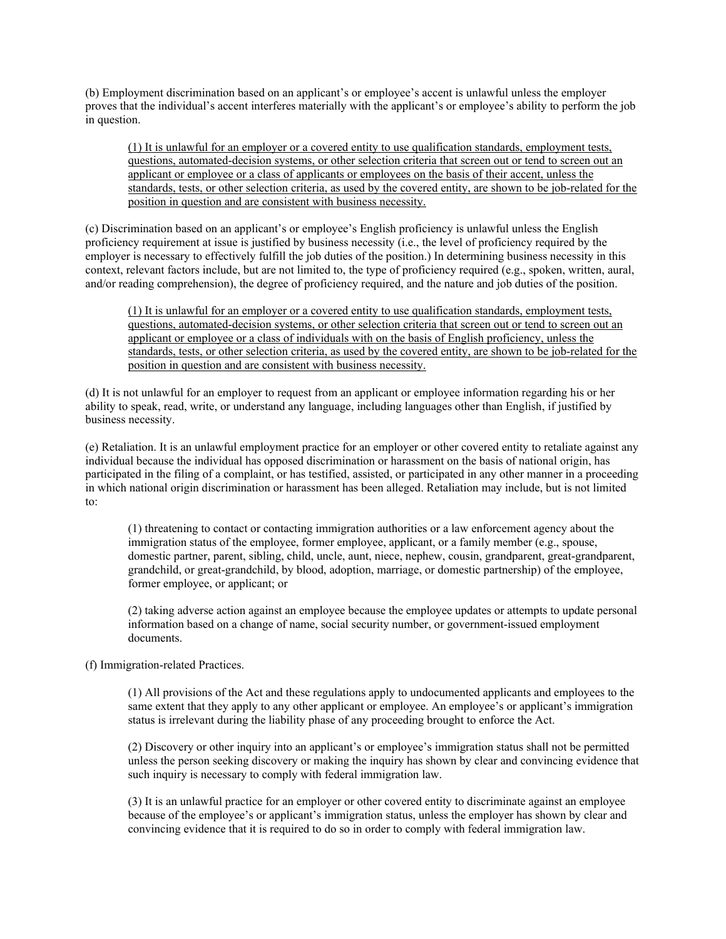(b) Employment discrimination based on an applicant's or employee's accent is unlawful unless the employer proves that the individual's accent interferes materially with the applicant's or employee's ability to perform the job in question.

(1) It is unlawful for an employer or a covered entity to use qualification standards, employment tests, questions, automated-decision systems, or other selection criteria that screen out or tend to screen out an applicant or employee or a class of applicants or employees on the basis of their accent, unless the standards, tests, or other selection criteria, as used by the covered entity, are shown to be job-related for the position in question and are consistent with business necessity.

(c) Discrimination based on an applicant's or employee's English proficiency is unlawful unless the English proficiency requirement at issue is justified by business necessity (i.e., the level of proficiency required by the employer is necessary to effectively fulfill the job duties of the position.) In determining business necessity in this context, relevant factors include, but are not limited to, the type of proficiency required (e.g., spoken, written, aural, and/or reading comprehension), the degree of proficiency required, and the nature and job duties of the position.

(1) It is unlawful for an employer or a covered entity to use qualification standards, employment tests, questions, automated-decision systems, or other selection criteria that screen out or tend to screen out an applicant or employee or a class of individuals with on the basis of English proficiency, unless the standards, tests, or other selection criteria, as used by the covered entity, are shown to be job-related for the position in question and are consistent with business necessity.

(d) It is not unlawful for an employer to request from an applicant or employee information regarding his or her ability to speak, read, write, or understand any language, including languages other than English, if justified by business necessity.

(e) Retaliation. It is an unlawful employment practice for an employer or other covered entity to retaliate against any individual because the individual has opposed discrimination or harassment on the basis of national origin, has participated in the filing of a complaint, or has testified, assisted, or participated in any other manner in a proceeding in which national origin discrimination or harassment has been alleged. Retaliation may include, but is not limited to:

(1) threatening to contact or contacting immigration authorities or a law enforcement agency about the immigration status of the employee, former employee, applicant, or a family member (e.g., spouse, domestic partner, parent, sibling, child, uncle, aunt, niece, nephew, cousin, grandparent, great-grandparent, grandchild, or great-grandchild, by blood, adoption, marriage, or domestic partnership) of the employee, former employee, or applicant; or

(2) taking adverse action against an employee because the employee updates or attempts to update personal information based on a change of name, social security number, or government-issued employment documents.

#### (f) Immigration-related Practices.

(1) All provisions of the Act and these regulations apply to undocumented applicants and employees to the same extent that they apply to any other applicant or employee. An employee's or applicant's immigration status is irrelevant during the liability phase of any proceeding brought to enforce the Act.

(2) Discovery or other inquiry into an applicant's or employee's immigration status shall not be permitted unless the person seeking discovery or making the inquiry has shown by clear and convincing evidence that such inquiry is necessary to comply with federal immigration law.

(3) It is an unlawful practice for an employer or other covered entity to discriminate against an employee because of the employee's or applicant's immigration status, unless the employer has shown by clear and convincing evidence that it is required to do so in order to comply with federal immigration law.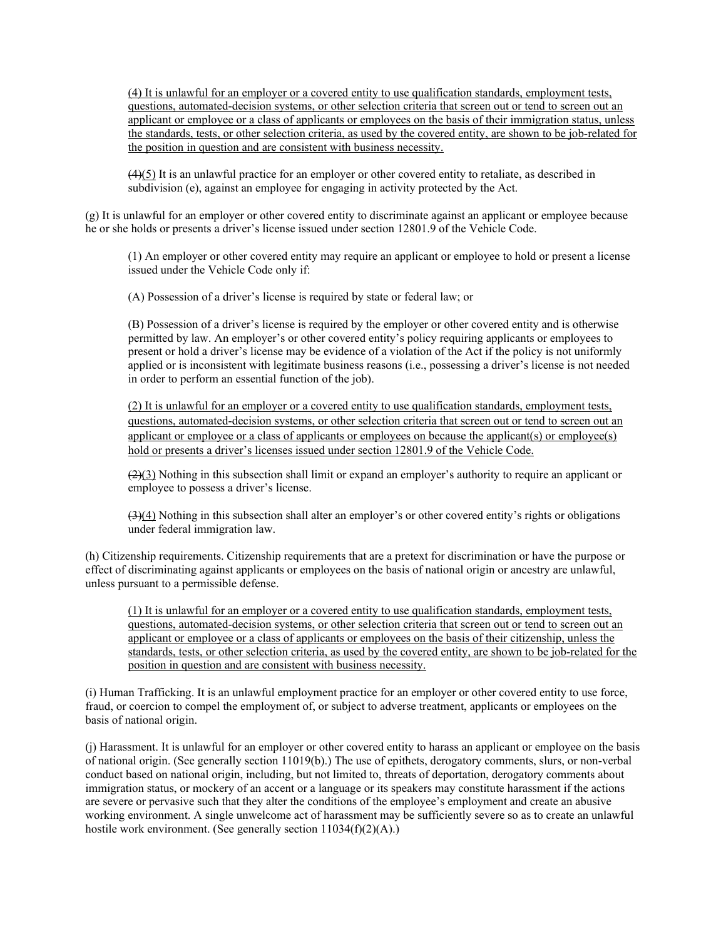(4) It is unlawful for an employer or a covered entity to use qualification standards, employment tests, questions, automated-decision systems, or other selection criteria that screen out or tend to screen out an applicant or employee or a class of applicants or employees on the basis of their immigration status, unless the standards, tests, or other selection criteria, as used by the covered entity, are shown to be job-related for the position in question and are consistent with business necessity.

 $(4)(5)$  It is an unlawful practice for an employer or other covered entity to retaliate, as described in subdivision (e), against an employee for engaging in activity protected by the Act.

(g) It is unlawful for an employer or other covered entity to discriminate against an applicant or employee because he or she holds or presents a driver's license issued under section 12801.9 of the Vehicle Code.

(1) An employer or other covered entity may require an applicant or employee to hold or present a license issued under the Vehicle Code only if:

(A) Possession of a driver's license is required by state or federal law; or

(B) Possession of a driver's license is required by the employer or other covered entity and is otherwise permitted by law. An employer's or other covered entity's policy requiring applicants or employees to present or hold a driver's license may be evidence of a violation of the Act if the policy is not uniformly applied or is inconsistent with legitimate business reasons (i.e., possessing a driver's license is not needed in order to perform an essential function of the job).

(2) It is unlawful for an employer or a covered entity to use qualification standards, employment tests, questions, automated-decision systems, or other selection criteria that screen out or tend to screen out an applicant or employee or a class of applicants or employees on because the applicant(s) or employee(s) hold or presents a driver's licenses issued under section 12801.9 of the Vehicle Code.

 $(2)(3)$  Nothing in this subsection shall limit or expand an employer's authority to require an applicant or employee to possess a driver's license.

 $(3)(4)$  Nothing in this subsection shall alter an employer's or other covered entity's rights or obligations under federal immigration law.

(h) Citizenship requirements. Citizenship requirements that are a pretext for discrimination or have the purpose or effect of discriminating against applicants or employees on the basis of national origin or ancestry are unlawful, unless pursuant to a permissible defense.

(1) It is unlawful for an employer or a covered entity to use qualification standards, employment tests, questions, automated-decision systems, or other selection criteria that screen out or tend to screen out an applicant or employee or a class of applicants or employees on the basis of their citizenship, unless the standards, tests, or other selection criteria, as used by the covered entity, are shown to be job-related for the position in question and are consistent with business necessity.

(i) Human Trafficking. It is an unlawful employment practice for an employer or other covered entity to use force, fraud, or coercion to compel the employment of, or subject to adverse treatment, applicants or employees on the basis of national origin.

(j) Harassment. It is unlawful for an employer or other covered entity to harass an applicant or employee on the basis of national origin. (See generally section 11019(b).) The use of epithets, derogatory comments, slurs, or non-verbal conduct based on national origin, including, but not limited to, threats of deportation, derogatory comments about immigration status, or mockery of an accent or a language or its speakers may constitute harassment if the actions are severe or pervasive such that they alter the conditions of the employee's employment and create an abusive working environment. A single unwelcome act of harassment may be sufficiently severe so as to create an unlawful hostile work environment. (See generally section  $11034(f)(2)(A)$ .)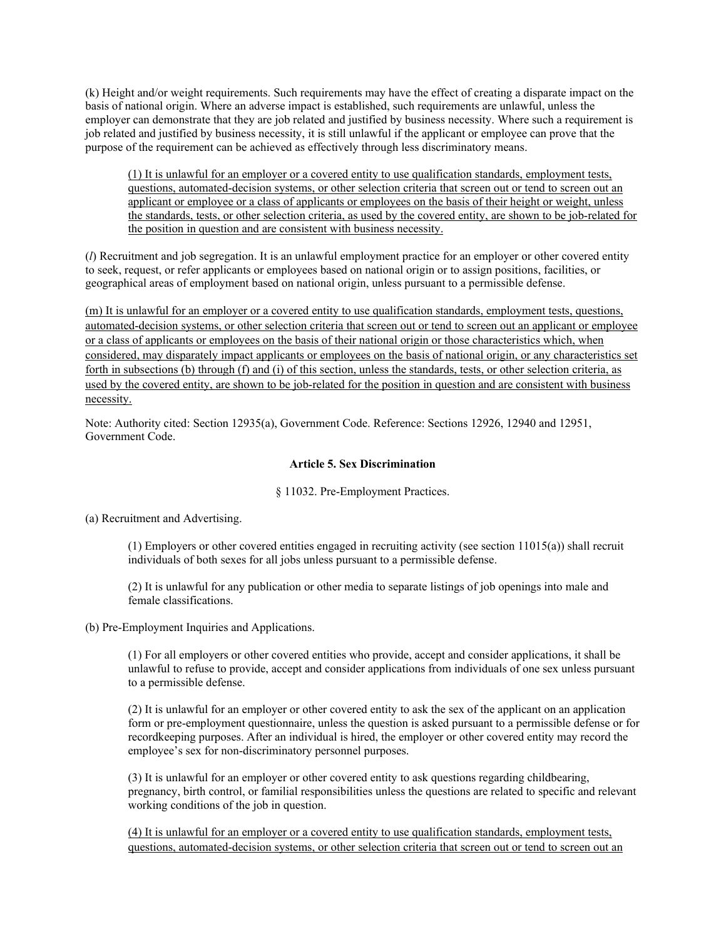(k) Height and/or weight requirements. Such requirements may have the effect of creating a disparate impact on the basis of national origin. Where an adverse impact is established, such requirements are unlawful, unless the employer can demonstrate that they are job related and justified by business necessity. Where such a requirement is job related and justified by business necessity, it is still unlawful if the applicant or employee can prove that the purpose of the requirement can be achieved as effectively through less discriminatory means.

(1) It is unlawful for an employer or a covered entity to use qualification standards, employment tests, questions, automated-decision systems, or other selection criteria that screen out or tend to screen out an applicant or employee or a class of applicants or employees on the basis of their height or weight, unless the standards, tests, or other selection criteria, as used by the covered entity, are shown to be job-related for the position in question and are consistent with business necessity.

(*l*) Recruitment and job segregation. It is an unlawful employment practice for an employer or other covered entity to seek, request, or refer applicants or employees based on national origin or to assign positions, facilities, or geographical areas of employment based on national origin, unless pursuant to a permissible defense.

(m) It is unlawful for an employer or a covered entity to use qualification standards, employment tests, questions, automated-decision systems, or other selection criteria that screen out or tend to screen out an applicant or employee or a class of applicants or employees on the basis of their national origin or those characteristics which, when considered, may disparately impact applicants or employees on the basis of national origin, or any characteristics set forth in subsections (b) through (f) and (i) of this section, unless the standards, tests, or other selection criteria, as used by the covered entity, are shown to be job-related for the position in question and are consistent with business necessity.

Note: Authority cited: Section 12935(a), Government Code. Reference: Sections 12926, 12940 and 12951, Government Code.

#### **Article 5. Sex Discrimination**

#### § 11032. Pre-Employment Practices.

(a) Recruitment and Advertising.

(1) Employers or other covered entities engaged in recruiting activity (see section 11015(a)) shall recruit individuals of both sexes for all jobs unless pursuant to a permissible defense.

(2) It is unlawful for any publication or other media to separate listings of job openings into male and female classifications.

(b) Pre-Employment Inquiries and Applications.

(1) For all employers or other covered entities who provide, accept and consider applications, it shall be unlawful to refuse to provide, accept and consider applications from individuals of one sex unless pursuant to a permissible defense.

(2) It is unlawful for an employer or other covered entity to ask the sex of the applicant on an application form or pre-employment questionnaire, unless the question is asked pursuant to a permissible defense or for recordkeeping purposes. After an individual is hired, the employer or other covered entity may record the employee's sex for non-discriminatory personnel purposes.

(3) It is unlawful for an employer or other covered entity to ask questions regarding childbearing, pregnancy, birth control, or familial responsibilities unless the questions are related to specific and relevant working conditions of the job in question.

(4) It is unlawful for an employer or a covered entity to use qualification standards, employment tests, questions, automated-decision systems, or other selection criteria that screen out or tend to screen out an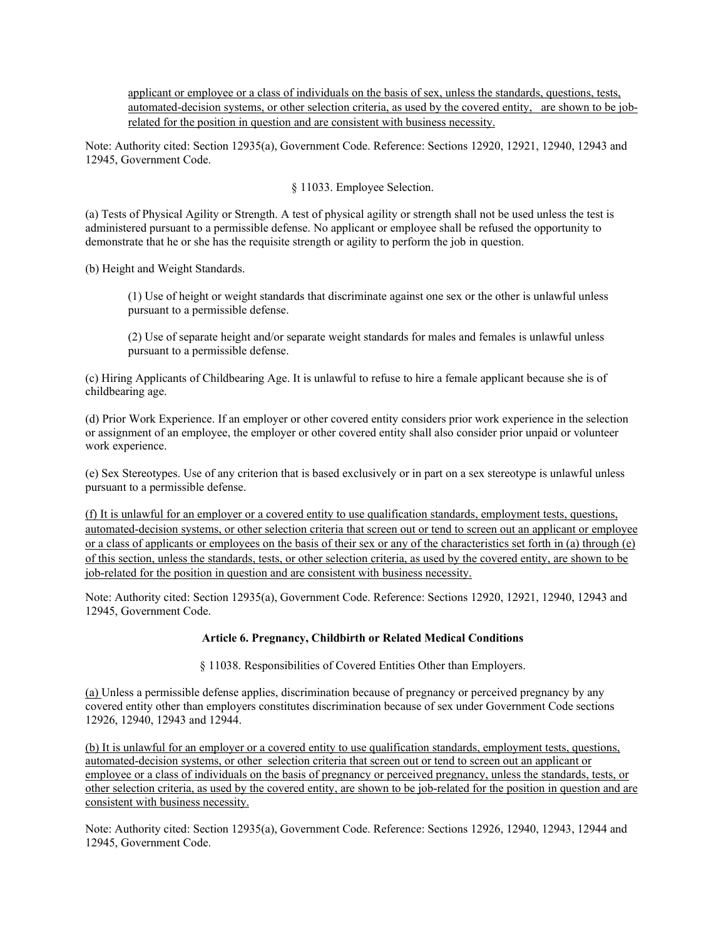applicant or employee or a class of individuals on the basis of sex, unless the standards, questions, tests, automated-decision systems, or other selection criteria, as used by the covered entity, are shown to be jobrelated for the position in question and are consistent with business necessity.

Note: Authority cited: Section 12935(a), Government Code. Reference: Sections 12920, 12921, 12940, 12943 and 12945, Government Code.

§ 11033. Employee Selection.

(a) Tests of Physical Agility or Strength. A test of physical agility or strength shall not be used unless the test is administered pursuant to a permissible defense. No applicant or employee shall be refused the opportunity to demonstrate that he or she has the requisite strength or agility to perform the job in question.

(b) Height and Weight Standards.

(1) Use of height or weight standards that discriminate against one sex or the other is unlawful unless pursuant to a permissible defense.

(2) Use of separate height and/or separate weight standards for males and females is unlawful unless pursuant to a permissible defense.

(c) Hiring Applicants of Childbearing Age. It is unlawful to refuse to hire a female applicant because she is of childbearing age.

(d) Prior Work Experience. If an employer or other covered entity considers prior work experience in the selection or assignment of an employee, the employer or other covered entity shall also consider prior unpaid or volunteer work experience.

(e) Sex Stereotypes. Use of any criterion that is based exclusively or in part on a sex stereotype is unlawful unless pursuant to a permissible defense.

(f) It is unlawful for an employer or a covered entity to use qualification standards, employment tests, questions, automated-decision systems, or other selection criteria that screen out or tend to screen out an applicant or employee or a class of applicants or employees on the basis of their sex or any of the characteristics set forth in (a) through (e) of this section, unless the standards, tests, or other selection criteria, as used by the covered entity, are shown to be job-related for the position in question and are consistent with business necessity.

Note: Authority cited: Section 12935(a), Government Code. Reference: Sections 12920, 12921, 12940, 12943 and 12945, Government Code.

#### **Article 6. Pregnancy, Childbirth or Related Medical Conditions**

§ 11038. Responsibilities of Covered Entities Other than Employers.

(a) Unless a permissible defense applies, discrimination because of pregnancy or perceived pregnancy by any covered entity other than employers constitutes discrimination because of sex under Government Code sections 12926, 12940, 12943 and 12944.

(b) It is unlawful for an employer or a covered entity to use qualification standards, employment tests, questions, automated-decision systems, or other selection criteria that screen out or tend to screen out an applicant or employee or a class of individuals on the basis of pregnancy or perceived pregnancy, unless the standards, tests, or other selection criteria, as used by the covered entity, are shown to be job-related for the position in question and are consistent with business necessity.

Note: Authority cited: Section 12935(a), Government Code. Reference: Sections 12926, 12940, 12943, 12944 and 12945, Government Code.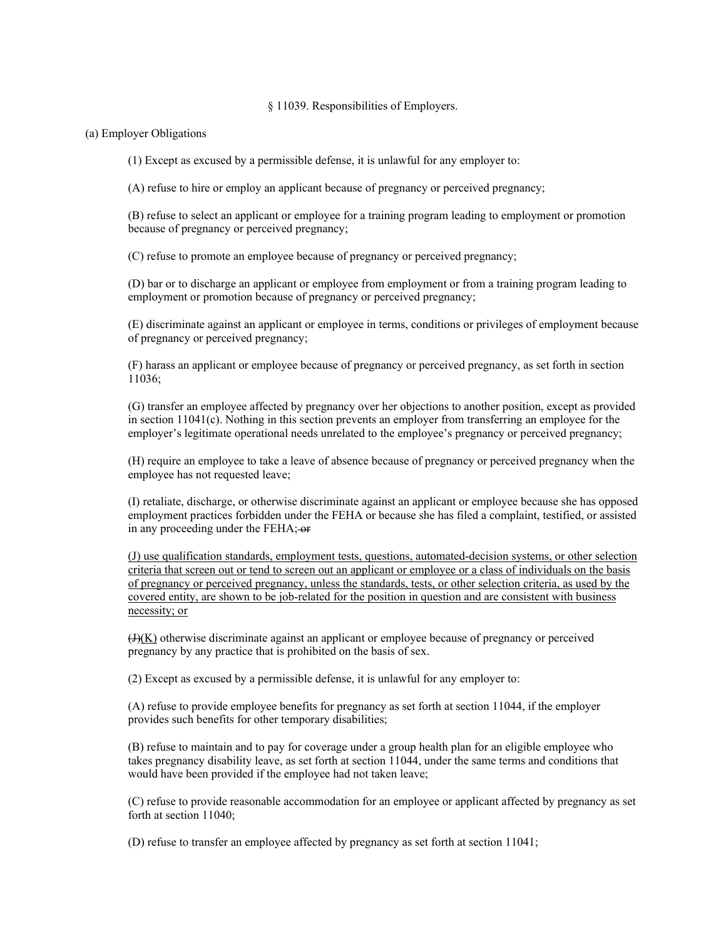#### § 11039. Responsibilities of Employers.

#### (a) Employer Obligations

(1) Except as excused by a permissible defense, it is unlawful for any employer to:

(A) refuse to hire or employ an applicant because of pregnancy or perceived pregnancy;

(B) refuse to select an applicant or employee for a training program leading to employment or promotion because of pregnancy or perceived pregnancy;

(C) refuse to promote an employee because of pregnancy or perceived pregnancy;

(D) bar or to discharge an applicant or employee from employment or from a training program leading to employment or promotion because of pregnancy or perceived pregnancy;

(E) discriminate against an applicant or employee in terms, conditions or privileges of employment because of pregnancy or perceived pregnancy;

(F) harass an applicant or employee because of pregnancy or perceived pregnancy, as set forth in section 11036;

(G) transfer an employee affected by pregnancy over her objections to another position, except as provided in section 11041(c). Nothing in this section prevents an employer from transferring an employee for the employer's legitimate operational needs unrelated to the employee's pregnancy or perceived pregnancy;

(H) require an employee to take a leave of absence because of pregnancy or perceived pregnancy when the employee has not requested leave;

(I) retaliate, discharge, or otherwise discriminate against an applicant or employee because she has opposed employment practices forbidden under the FEHA or because she has filed a complaint, testified, or assisted in any proceeding under the FEHA; or

(J) use qualification standards, employment tests, questions, automated-decision systems, or other selection criteria that screen out or tend to screen out an applicant or employee or a class of individuals on the basis of pregnancy or perceived pregnancy, unless the standards, tests, or other selection criteria, as used by the covered entity, are shown to be job-related for the position in question and are consistent with business necessity; or

 $(H(K))$  otherwise discriminate against an applicant or employee because of pregnancy or perceived pregnancy by any practice that is prohibited on the basis of sex.

(2) Except as excused by a permissible defense, it is unlawful for any employer to:

(A) refuse to provide employee benefits for pregnancy as set forth at section 11044, if the employer provides such benefits for other temporary disabilities;

(B) refuse to maintain and to pay for coverage under a group health plan for an eligible employee who takes pregnancy disability leave, as set forth at section 11044, under the same terms and conditions that would have been provided if the employee had not taken leave;

(C) refuse to provide reasonable accommodation for an employee or applicant affected by pregnancy as set forth at section 11040;

(D) refuse to transfer an employee affected by pregnancy as set forth at section 11041;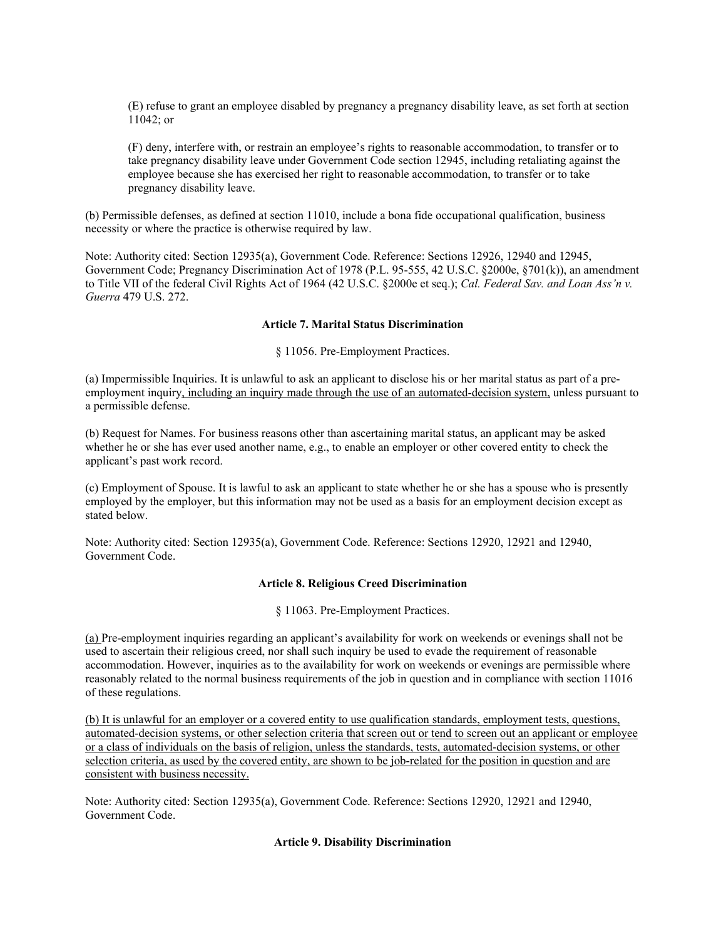(E) refuse to grant an employee disabled by pregnancy a pregnancy disability leave, as set forth at section 11042; or

(F) deny, interfere with, or restrain an employee's rights to reasonable accommodation, to transfer or to take pregnancy disability leave under Government Code section 12945, including retaliating against the employee because she has exercised her right to reasonable accommodation, to transfer or to take pregnancy disability leave.

(b) Permissible defenses, as defined at section 11010, include a bona fide occupational qualification, business necessity or where the practice is otherwise required by law.

Note: Authority cited: Section 12935(a), Government Code. Reference: Sections 12926, 12940 and 12945, Government Code; Pregnancy Discrimination Act of 1978 (P.L. 95-555, 42 U.S.C. §2000e, §701(k)), an amendment to Title VII of the federal Civil Rights Act of 1964 (42 U.S.C. §2000e et seq.); *Cal. Federal Sav. and Loan Ass'n v. Guerra* 479 U.S. 272.

#### **Article 7. Marital Status Discrimination**

§ 11056. Pre-Employment Practices.

(a) Impermissible Inquiries. It is unlawful to ask an applicant to disclose his or her marital status as part of a preemployment inquiry, including an inquiry made through the use of an automated-decision system, unless pursuant to a permissible defense.

(b) Request for Names. For business reasons other than ascertaining marital status, an applicant may be asked whether he or she has ever used another name, e.g., to enable an employer or other covered entity to check the applicant's past work record.

(c) Employment of Spouse. It is lawful to ask an applicant to state whether he or she has a spouse who is presently employed by the employer, but this information may not be used as a basis for an employment decision except as stated below.

Note: Authority cited: Section 12935(a), Government Code. Reference: Sections 12920, 12921 and 12940, Government Code.

#### **Article 8. Religious Creed Discrimination**

§ 11063. Pre-Employment Practices.

(a) Pre-employment inquiries regarding an applicant's availability for work on weekends or evenings shall not be used to ascertain their religious creed, nor shall such inquiry be used to evade the requirement of reasonable accommodation. However, inquiries as to the availability for work on weekends or evenings are permissible where reasonably related to the normal business requirements of the job in question and in compliance with section 11016 of these regulations.

(b) It is unlawful for an employer or a covered entity to use qualification standards, employment tests, questions, automated-decision systems, or other selection criteria that screen out or tend to screen out an applicant or employee or a class of individuals on the basis of religion, unless the standards, tests, automated-decision systems, or other selection criteria, as used by the covered entity, are shown to be job-related for the position in question and are consistent with business necessity.

Note: Authority cited: Section 12935(a), Government Code. Reference: Sections 12920, 12921 and 12940, Government Code.

#### **Article 9. Disability Discrimination**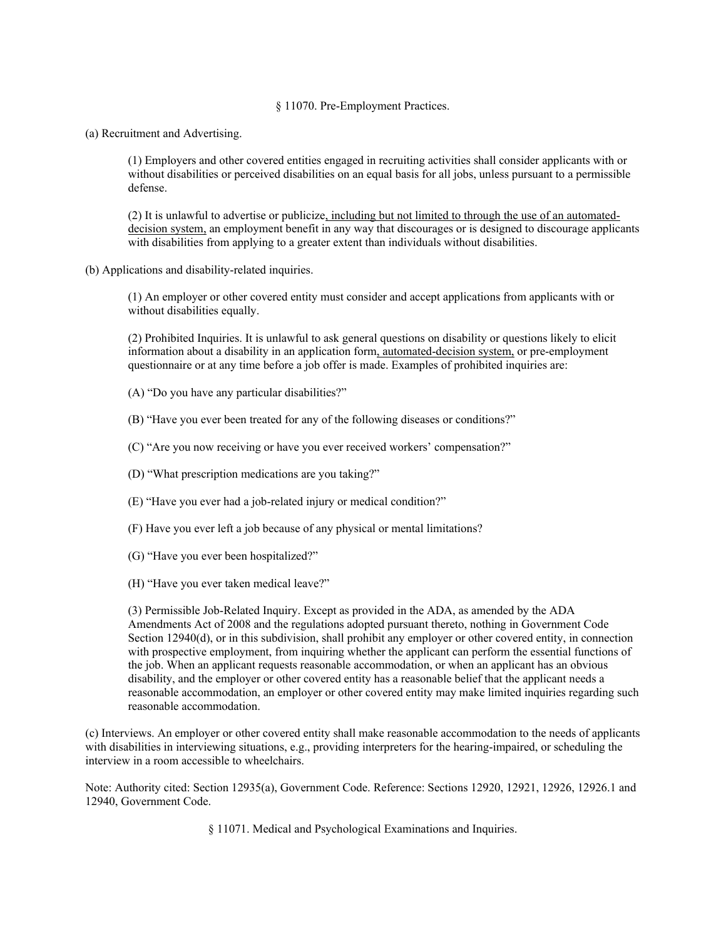#### § 11070. Pre-Employment Practices.

(a) Recruitment and Advertising.

(1) Employers and other covered entities engaged in recruiting activities shall consider applicants with or without disabilities or perceived disabilities on an equal basis for all jobs, unless pursuant to a permissible defense.

(2) It is unlawful to advertise or publicize, including but not limited to through the use of an automateddecision system, an employment benefit in any way that discourages or is designed to discourage applicants with disabilities from applying to a greater extent than individuals without disabilities.

(b) Applications and disability-related inquiries.

(1) An employer or other covered entity must consider and accept applications from applicants with or without disabilities equally.

(2) Prohibited Inquiries. It is unlawful to ask general questions on disability or questions likely to elicit information about a disability in an application form, automated-decision system, or pre-employment questionnaire or at any time before a job offer is made. Examples of prohibited inquiries are:

(A) "Do you have any particular disabilities?"

(B) "Have you ever been treated for any of the following diseases or conditions?"

(C) "Are you now receiving or have you ever received workers' compensation?"

(D) "What prescription medications are you taking?"

(E) "Have you ever had a job-related injury or medical condition?"

(F) Have you ever left a job because of any physical or mental limitations?

(G) "Have you ever been hospitalized?"

(H) "Have you ever taken medical leave?"

(3) Permissible Job-Related Inquiry. Except as provided in the ADA, as amended by the ADA Amendments Act of 2008 and the regulations adopted pursuant thereto, nothing in Government Code Section 12940(d), or in this subdivision, shall prohibit any employer or other covered entity, in connection with prospective employment, from inquiring whether the applicant can perform the essential functions of the job. When an applicant requests reasonable accommodation, or when an applicant has an obvious disability, and the employer or other covered entity has a reasonable belief that the applicant needs a reasonable accommodation, an employer or other covered entity may make limited inquiries regarding such reasonable accommodation.

(c) Interviews. An employer or other covered entity shall make reasonable accommodation to the needs of applicants with disabilities in interviewing situations, e.g., providing interpreters for the hearing-impaired, or scheduling the interview in a room accessible to wheelchairs.

Note: Authority cited: Section 12935(a), Government Code. Reference: Sections 12920, 12921, 12926, 12926.1 and 12940, Government Code.

§ 11071. Medical and Psychological Examinations and Inquiries.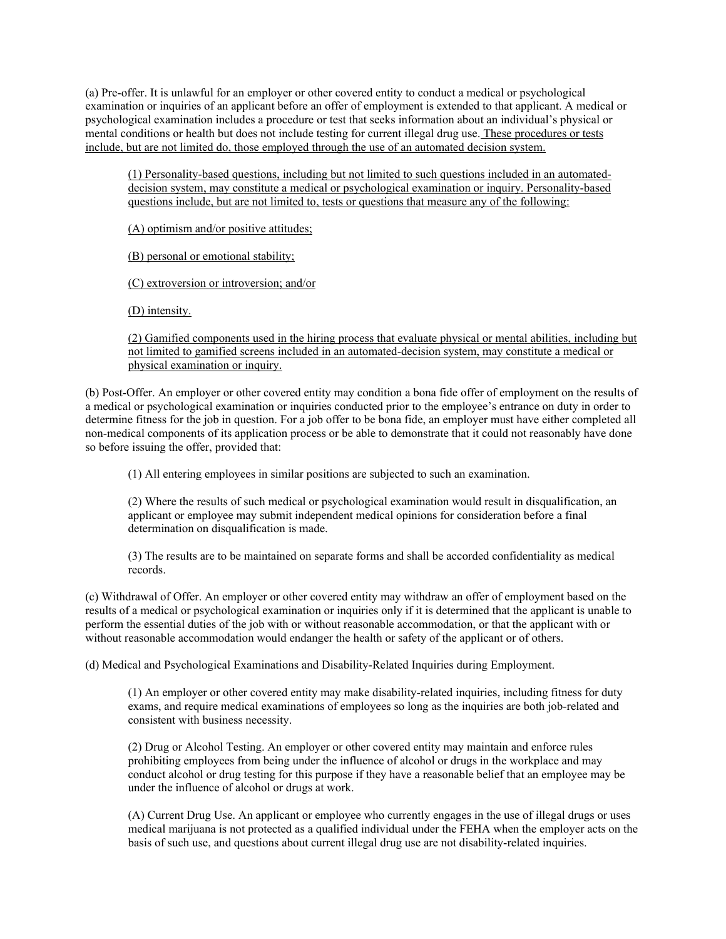(a) Pre-offer. It is unlawful for an employer or other covered entity to conduct a medical or psychological examination or inquiries of an applicant before an offer of employment is extended to that applicant. A medical or psychological examination includes a procedure or test that seeks information about an individual's physical or mental conditions or health but does not include testing for current illegal drug use. These procedures or tests include, but are not limited do, those employed through the use of an automated decision system.

(1) Personality-based questions, including but not limited to such questions included in an automateddecision system, may constitute a medical or psychological examination or inquiry. Personality-based questions include, but are not limited to, tests or questions that measure any of the following:

(A) optimism and/or positive attitudes;

(B) personal or emotional stability;

(C) extroversion or introversion; and/or

(D) intensity.

(2) Gamified components used in the hiring process that evaluate physical or mental abilities, including but not limited to gamified screens included in an automated-decision system, may constitute a medical or physical examination or inquiry.

(b) Post-Offer. An employer or other covered entity may condition a bona fide offer of employment on the results of a medical or psychological examination or inquiries conducted prior to the employee's entrance on duty in order to determine fitness for the job in question. For a job offer to be bona fide, an employer must have either completed all non-medical components of its application process or be able to demonstrate that it could not reasonably have done so before issuing the offer, provided that:

(1) All entering employees in similar positions are subjected to such an examination.

(2) Where the results of such medical or psychological examination would result in disqualification, an applicant or employee may submit independent medical opinions for consideration before a final determination on disqualification is made.

(3) The results are to be maintained on separate forms and shall be accorded confidentiality as medical records.

(c) Withdrawal of Offer. An employer or other covered entity may withdraw an offer of employment based on the results of a medical or psychological examination or inquiries only if it is determined that the applicant is unable to perform the essential duties of the job with or without reasonable accommodation, or that the applicant with or without reasonable accommodation would endanger the health or safety of the applicant or of others.

(d) Medical and Psychological Examinations and Disability-Related Inquiries during Employment.

(1) An employer or other covered entity may make disability-related inquiries, including fitness for duty exams, and require medical examinations of employees so long as the inquiries are both job-related and consistent with business necessity.

(2) Drug or Alcohol Testing. An employer or other covered entity may maintain and enforce rules prohibiting employees from being under the influence of alcohol or drugs in the workplace and may conduct alcohol or drug testing for this purpose if they have a reasonable belief that an employee may be under the influence of alcohol or drugs at work.

(A) Current Drug Use. An applicant or employee who currently engages in the use of illegal drugs or uses medical marijuana is not protected as a qualified individual under the FEHA when the employer acts on the basis of such use, and questions about current illegal drug use are not disability-related inquiries.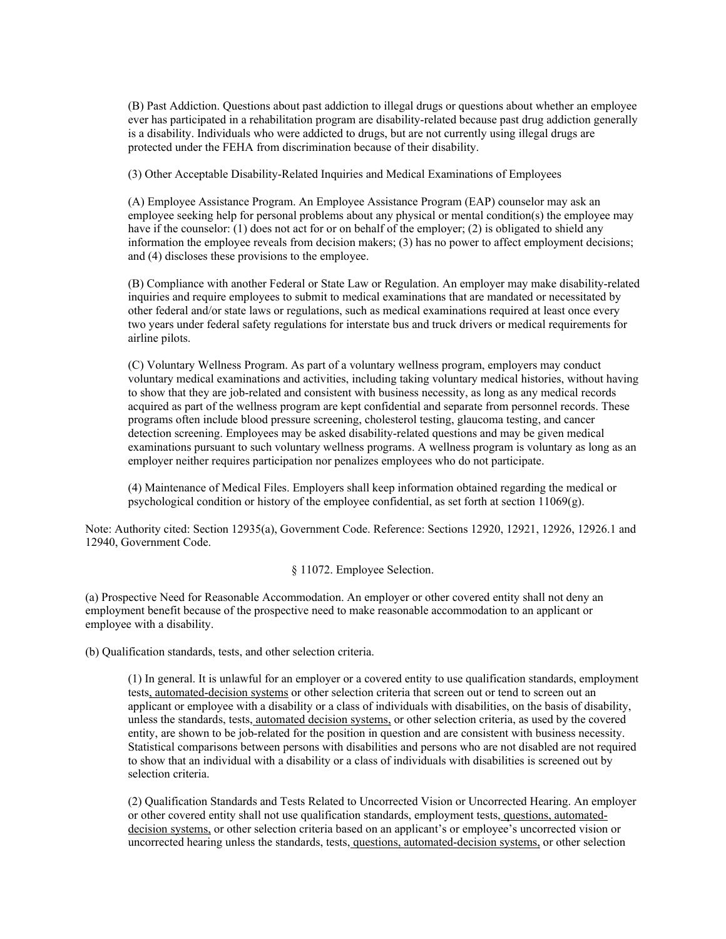(B) Past Addiction. Questions about past addiction to illegal drugs or questions about whether an employee ever has participated in a rehabilitation program are disability-related because past drug addiction generally is a disability. Individuals who were addicted to drugs, but are not currently using illegal drugs are protected under the FEHA from discrimination because of their disability.

(3) Other Acceptable Disability-Related Inquiries and Medical Examinations of Employees

(A) Employee Assistance Program. An Employee Assistance Program (EAP) counselor may ask an employee seeking help for personal problems about any physical or mental condition(s) the employee may have if the counselor: (1) does not act for or on behalf of the employer; (2) is obligated to shield any information the employee reveals from decision makers; (3) has no power to affect employment decisions; and (4) discloses these provisions to the employee.

(B) Compliance with another Federal or State Law or Regulation. An employer may make disability-related inquiries and require employees to submit to medical examinations that are mandated or necessitated by other federal and/or state laws or regulations, such as medical examinations required at least once every two years under federal safety regulations for interstate bus and truck drivers or medical requirements for airline pilots.

(C) Voluntary Wellness Program. As part of a voluntary wellness program, employers may conduct voluntary medical examinations and activities, including taking voluntary medical histories, without having to show that they are job-related and consistent with business necessity, as long as any medical records acquired as part of the wellness program are kept confidential and separate from personnel records. These programs often include blood pressure screening, cholesterol testing, glaucoma testing, and cancer detection screening. Employees may be asked disability-related questions and may be given medical examinations pursuant to such voluntary wellness programs. A wellness program is voluntary as long as an employer neither requires participation nor penalizes employees who do not participate.

(4) Maintenance of Medical Files. Employers shall keep information obtained regarding the medical or psychological condition or history of the employee confidential, as set forth at section 11069(g).

Note: Authority cited: Section 12935(a), Government Code. Reference: Sections 12920, 12921, 12926, 12926.1 and 12940, Government Code.

#### § 11072. Employee Selection.

(a) Prospective Need for Reasonable Accommodation. An employer or other covered entity shall not deny an employment benefit because of the prospective need to make reasonable accommodation to an applicant or employee with a disability.

(b) Qualification standards, tests, and other selection criteria.

(1) In general. It is unlawful for an employer or a covered entity to use qualification standards, employment tests, automated-decision systems or other selection criteria that screen out or tend to screen out an applicant or employee with a disability or a class of individuals with disabilities, on the basis of disability, unless the standards, tests, automated decision systems, or other selection criteria, as used by the covered entity, are shown to be job-related for the position in question and are consistent with business necessity. Statistical comparisons between persons with disabilities and persons who are not disabled are not required to show that an individual with a disability or a class of individuals with disabilities is screened out by selection criteria.

(2) Qualification Standards and Tests Related to Uncorrected Vision or Uncorrected Hearing. An employer or other covered entity shall not use qualification standards, employment tests, questions, automateddecision systems, or other selection criteria based on an applicant's or employee's uncorrected vision or uncorrected hearing unless the standards, tests, questions, automated-decision systems, or other selection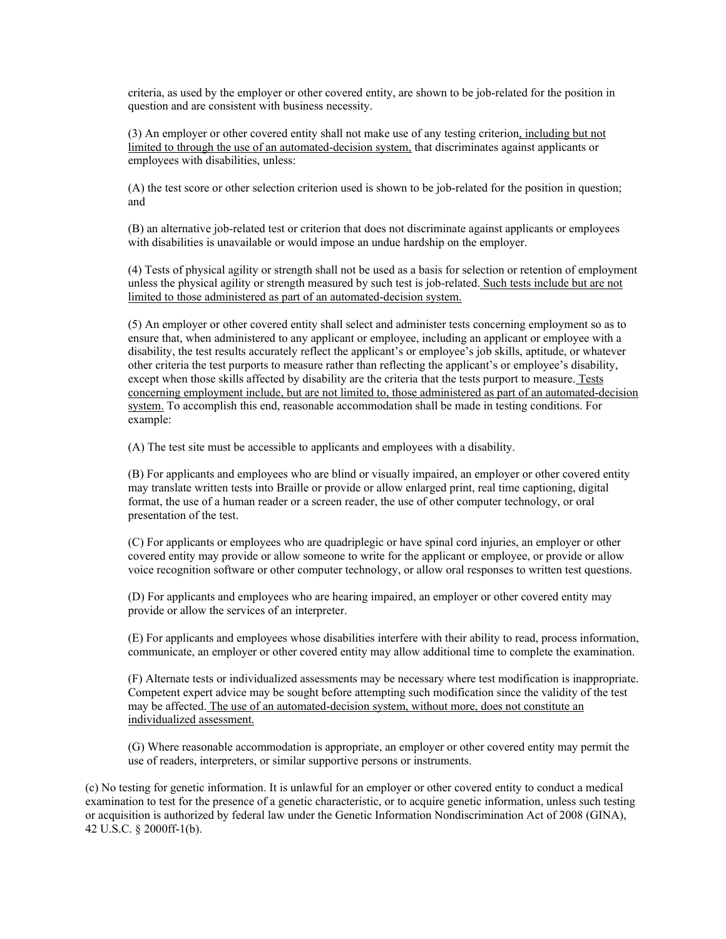criteria, as used by the employer or other covered entity, are shown to be job-related for the position in question and are consistent with business necessity.

(3) An employer or other covered entity shall not make use of any testing criterion, including but not limited to through the use of an automated-decision system, that discriminates against applicants or employees with disabilities, unless:

(A) the test score or other selection criterion used is shown to be job-related for the position in question; and

(B) an alternative job-related test or criterion that does not discriminate against applicants or employees with disabilities is unavailable or would impose an undue hardship on the employer.

(4) Tests of physical agility or strength shall not be used as a basis for selection or retention of employment unless the physical agility or strength measured by such test is job-related. Such tests include but are not limited to those administered as part of an automated-decision system.

(5) An employer or other covered entity shall select and administer tests concerning employment so as to ensure that, when administered to any applicant or employee, including an applicant or employee with a disability, the test results accurately reflect the applicant's or employee's job skills, aptitude, or whatever other criteria the test purports to measure rather than reflecting the applicant's or employee's disability, except when those skills affected by disability are the criteria that the tests purport to measure. Tests concerning employment include, but are not limited to, those administered as part of an automated-decision system. To accomplish this end, reasonable accommodation shall be made in testing conditions. For example:

(A) The test site must be accessible to applicants and employees with a disability.

(B) For applicants and employees who are blind or visually impaired, an employer or other covered entity may translate written tests into Braille or provide or allow enlarged print, real time captioning, digital format, the use of a human reader or a screen reader, the use of other computer technology, or oral presentation of the test.

(C) For applicants or employees who are quadriplegic or have spinal cord injuries, an employer or other covered entity may provide or allow someone to write for the applicant or employee, or provide or allow voice recognition software or other computer technology, or allow oral responses to written test questions.

(D) For applicants and employees who are hearing impaired, an employer or other covered entity may provide or allow the services of an interpreter.

(E) For applicants and employees whose disabilities interfere with their ability to read, process information, communicate, an employer or other covered entity may allow additional time to complete the examination.

(F) Alternate tests or individualized assessments may be necessary where test modification is inappropriate. Competent expert advice may be sought before attempting such modification since the validity of the test may be affected. The use of an automated-decision system, without more, does not constitute an individualized assessment.

(G) Where reasonable accommodation is appropriate, an employer or other covered entity may permit the use of readers, interpreters, or similar supportive persons or instruments.

(c) No testing for genetic information. It is unlawful for an employer or other covered entity to conduct a medical examination to test for the presence of a genetic characteristic, or to acquire genetic information, unless such testing or acquisition is authorized by federal law under the Genetic Information Nondiscrimination Act of 2008 (GINA), 42 U.S.C. § 2000ff-1(b).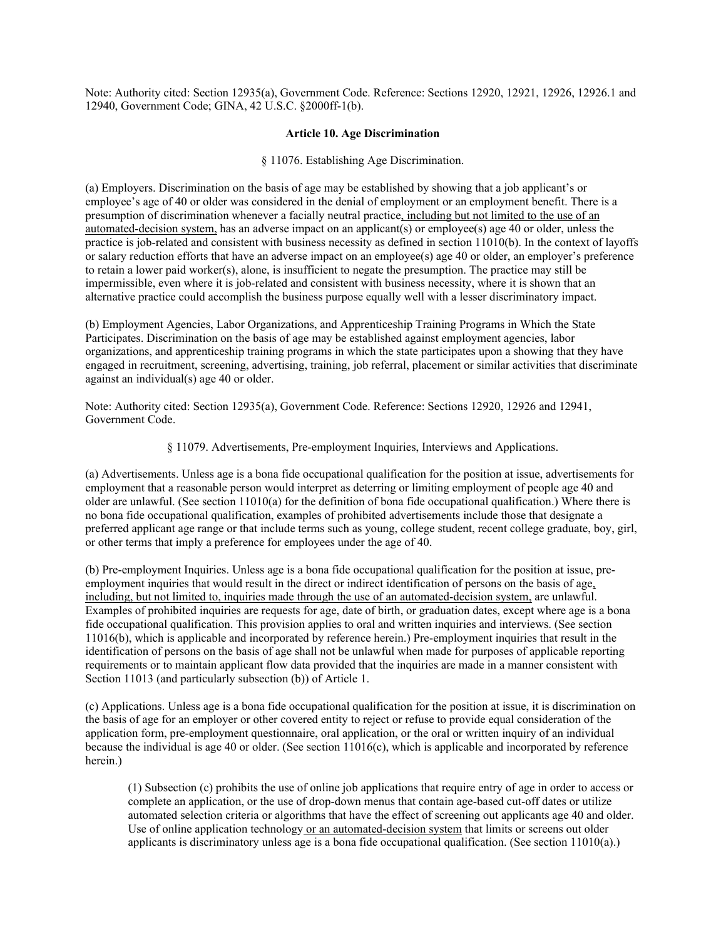Note: Authority cited: Section 12935(a), Government Code. Reference: Sections 12920, 12921, 12926, 12926.1 and 12940, Government Code; GINA, 42 U.S.C. §2000ff-1(b).

#### **Article 10. Age Discrimination**

#### § 11076. Establishing Age Discrimination.

(a) Employers. Discrimination on the basis of age may be established by showing that a job applicant's or employee's age of 40 or older was considered in the denial of employment or an employment benefit. There is a presumption of discrimination whenever a facially neutral practice, including but not limited to the use of an automated-decision system, has an adverse impact on an applicant(s) or employee(s) age 40 or older, unless the practice is job-related and consistent with business necessity as defined in section 11010(b). In the context of layoffs or salary reduction efforts that have an adverse impact on an employee(s) age 40 or older, an employer's preference to retain a lower paid worker(s), alone, is insufficient to negate the presumption. The practice may still be impermissible, even where it is job-related and consistent with business necessity, where it is shown that an alternative practice could accomplish the business purpose equally well with a lesser discriminatory impact.

(b) Employment Agencies, Labor Organizations, and Apprenticeship Training Programs in Which the State Participates. Discrimination on the basis of age may be established against employment agencies, labor organizations, and apprenticeship training programs in which the state participates upon a showing that they have engaged in recruitment, screening, advertising, training, job referral, placement or similar activities that discriminate against an individual(s) age 40 or older.

Note: Authority cited: Section 12935(a), Government Code. Reference: Sections 12920, 12926 and 12941, Government Code.

§ 11079. Advertisements, Pre-employment Inquiries, Interviews and Applications.

(a) Advertisements. Unless age is a bona fide occupational qualification for the position at issue, advertisements for employment that a reasonable person would interpret as deterring or limiting employment of people age 40 and older are unlawful. (See section  $11010(a)$  for the definition of bona fide occupational qualification.) Where there is no bona fide occupational qualification, examples of prohibited advertisements include those that designate a preferred applicant age range or that include terms such as young, college student, recent college graduate, boy, girl, or other terms that imply a preference for employees under the age of 40.

(b) Pre-employment Inquiries. Unless age is a bona fide occupational qualification for the position at issue, preemployment inquiries that would result in the direct or indirect identification of persons on the basis of age, including, but not limited to, inquiries made through the use of an automated-decision system, are unlawful. Examples of prohibited inquiries are requests for age, date of birth, or graduation dates, except where age is a bona fide occupational qualification. This provision applies to oral and written inquiries and interviews. (See section 11016(b), which is applicable and incorporated by reference herein.) Pre-employment inquiries that result in the identification of persons on the basis of age shall not be unlawful when made for purposes of applicable reporting requirements or to maintain applicant flow data provided that the inquiries are made in a manner consistent with Section 11013 (and particularly subsection (b)) of Article 1.

(c) Applications. Unless age is a bona fide occupational qualification for the position at issue, it is discrimination on the basis of age for an employer or other covered entity to reject or refuse to provide equal consideration of the application form, pre-employment questionnaire, oral application, or the oral or written inquiry of an individual because the individual is age 40 or older. (See section  $11016(c)$ , which is applicable and incorporated by reference herein.)

(1) Subsection (c) prohibits the use of online job applications that require entry of age in order to access or complete an application, or the use of drop-down menus that contain age-based cut-off dates or utilize automated selection criteria or algorithms that have the effect of screening out applicants age 40 and older. Use of online application technology or an automated-decision system that limits or screens out older applicants is discriminatory unless age is a bona fide occupational qualification. (See section 11010(a).)